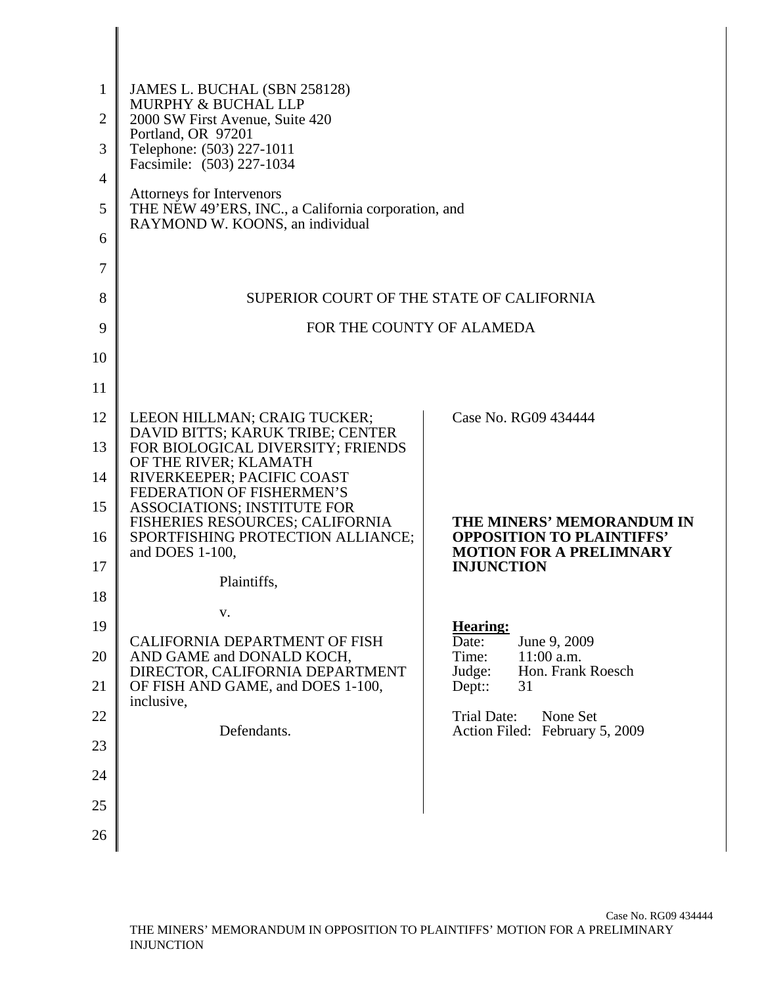| $\mathbf{1}$<br>JAMES L. BUCHAL (SBN 258128)<br>MURPHY & BUCHAL LLP<br>2000 SW First Avenue, Suite 420<br>$\overline{2}$<br>Portland, OR 97201<br>Telephone: (503) 227-1011<br>3<br>Facsimile: (503) 227-1034<br>4<br><b>Attorneys for Intervenors</b><br>THE NEW 49'ERS, INC., a California corporation, and<br>5<br>RAYMOND W. KOONS, an individual |  |
|-------------------------------------------------------------------------------------------------------------------------------------------------------------------------------------------------------------------------------------------------------------------------------------------------------------------------------------------------------|--|
|                                                                                                                                                                                                                                                                                                                                                       |  |
|                                                                                                                                                                                                                                                                                                                                                       |  |
|                                                                                                                                                                                                                                                                                                                                                       |  |
|                                                                                                                                                                                                                                                                                                                                                       |  |
|                                                                                                                                                                                                                                                                                                                                                       |  |
| 6                                                                                                                                                                                                                                                                                                                                                     |  |
| 7                                                                                                                                                                                                                                                                                                                                                     |  |
| SUPERIOR COURT OF THE STATE OF CALIFORNIA<br>8                                                                                                                                                                                                                                                                                                        |  |
| FOR THE COUNTY OF ALAMEDA<br>9                                                                                                                                                                                                                                                                                                                        |  |
| 10                                                                                                                                                                                                                                                                                                                                                    |  |
| 11                                                                                                                                                                                                                                                                                                                                                    |  |
| Case No. RG09 434444<br>12<br>LEEON HILLMAN; CRAIG TUCKER;                                                                                                                                                                                                                                                                                            |  |
| DAVID BITTS; KARUK TRIBE; CENTER<br>FOR BIOLOGICAL DIVERSITY; FRIENDS<br>13<br>OF THE RIVER; KLAMATH                                                                                                                                                                                                                                                  |  |
| RIVERKEEPER; PACIFIC COAST<br>14<br>FEDERATION OF FISHERMEN'S                                                                                                                                                                                                                                                                                         |  |
| ASSOCIATIONS; INSTITUTE FOR<br>15<br>FISHERIES RESOURCES; CALIFORNIA<br>THE MINERS' MEMORANDUM IN                                                                                                                                                                                                                                                     |  |
| SPORTFISHING PROTECTION ALLIANCE;<br><b>OPPOSITION TO PLAINTIFFS'</b><br>16<br>and DOES 1-100,<br><b>MOTION FOR A PRELIMNARY</b><br><b>INJUNCTION</b>                                                                                                                                                                                                 |  |
| 17<br>Plaintiffs,                                                                                                                                                                                                                                                                                                                                     |  |
| 18<br>v.                                                                                                                                                                                                                                                                                                                                              |  |
| 19<br><b>Hearing:</b><br>CALIFORNIA DEPARTMENT OF FISH<br>Date:<br>June 9, 2009                                                                                                                                                                                                                                                                       |  |
| AND GAME and DONALD KOCH,<br>Time:<br>$11:00$ a.m.<br>20<br>DIRECTOR, CALIFORNIA DEPARTMENT<br>Judge:<br>Hon. Frank Roesch                                                                                                                                                                                                                            |  |
| OF FISH AND GAME, and DOES 1-100,<br>21<br>Dept::<br>31<br>inclusive,                                                                                                                                                                                                                                                                                 |  |
| 22<br><b>Trial Date:</b><br>None Set<br>Defendants.<br>Action Filed: February 5, 2009                                                                                                                                                                                                                                                                 |  |
| 23                                                                                                                                                                                                                                                                                                                                                    |  |
| 24                                                                                                                                                                                                                                                                                                                                                    |  |
|                                                                                                                                                                                                                                                                                                                                                       |  |
| 25                                                                                                                                                                                                                                                                                                                                                    |  |

 $\parallel$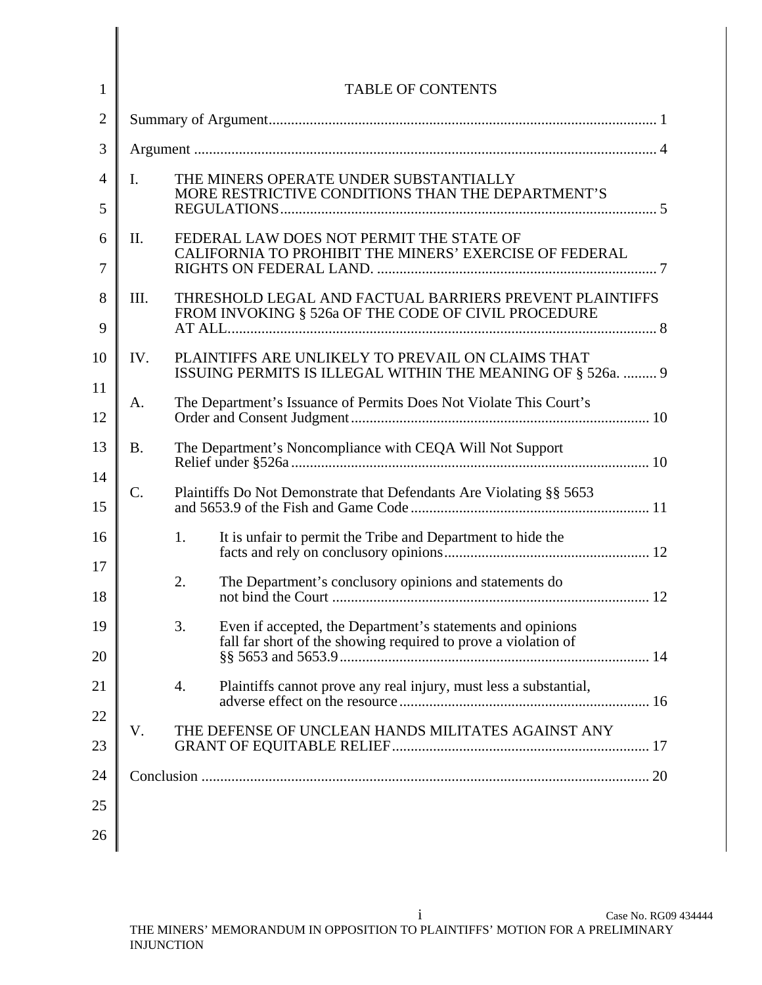| $\overline{2}$<br>3<br>THE MINERS OPERATE UNDER SUBSTANTIALLY<br>$\mathbf{I}$ .<br>$\overline{4}$<br>MORE RESTRICTIVE CONDITIONS THAN THE DEPARTMENT'S<br>5<br>FEDERAL LAW DOES NOT PERMIT THE STATE OF<br>Π.<br>6<br>7<br>8<br>III.<br>FROM INVOKING § 526a OF THE CODE OF CIVIL PROCEDURE<br>9<br>PLAINTIFFS ARE UNLIKELY TO PREVAIL ON CLAIMS THAT<br>10<br>IV.<br>ISSUING PERMITS IS ILLEGAL WITHIN THE MEANING OF § 526a.  9<br>11<br>The Department's Issuance of Permits Does Not Violate This Court's<br>A.<br>12<br>13<br>The Department's Noncompliance with CEQA Will Not Support<br><b>B.</b><br>14<br>C.<br>Plaintiffs Do Not Demonstrate that Defendants Are Violating §§ 5653<br>15<br>16<br>It is unfair to permit the Tribe and Department to hide the<br>1.<br>17<br>The Department's conclusory opinions and statements do<br>2.<br>18<br>19<br>Even if accepted, the Department's statements and opinions<br>3.<br>fall far short of the showing required to prove a violation of<br>20<br>21<br>Plaintiffs cannot prove any real injury, must less a substantial,<br>4.<br>22<br>V.<br>THE DEFENSE OF UNCLEAN HANDS MILITATES AGAINST ANY<br>23<br>24 | $\mathbf{1}$ | <b>TABLE OF CONTENTS</b>                                |  |  |
|----------------------------------------------------------------------------------------------------------------------------------------------------------------------------------------------------------------------------------------------------------------------------------------------------------------------------------------------------------------------------------------------------------------------------------------------------------------------------------------------------------------------------------------------------------------------------------------------------------------------------------------------------------------------------------------------------------------------------------------------------------------------------------------------------------------------------------------------------------------------------------------------------------------------------------------------------------------------------------------------------------------------------------------------------------------------------------------------------------------------------------------------------------------------------|--------------|---------------------------------------------------------|--|--|
|                                                                                                                                                                                                                                                                                                                                                                                                                                                                                                                                                                                                                                                                                                                                                                                                                                                                                                                                                                                                                                                                                                                                                                            |              |                                                         |  |  |
|                                                                                                                                                                                                                                                                                                                                                                                                                                                                                                                                                                                                                                                                                                                                                                                                                                                                                                                                                                                                                                                                                                                                                                            |              |                                                         |  |  |
|                                                                                                                                                                                                                                                                                                                                                                                                                                                                                                                                                                                                                                                                                                                                                                                                                                                                                                                                                                                                                                                                                                                                                                            |              |                                                         |  |  |
|                                                                                                                                                                                                                                                                                                                                                                                                                                                                                                                                                                                                                                                                                                                                                                                                                                                                                                                                                                                                                                                                                                                                                                            |              |                                                         |  |  |
|                                                                                                                                                                                                                                                                                                                                                                                                                                                                                                                                                                                                                                                                                                                                                                                                                                                                                                                                                                                                                                                                                                                                                                            |              | CALIFORNIA TO PROHIBIT THE MINERS' EXERCISE OF FEDERAL  |  |  |
|                                                                                                                                                                                                                                                                                                                                                                                                                                                                                                                                                                                                                                                                                                                                                                                                                                                                                                                                                                                                                                                                                                                                                                            |              | THRESHOLD LEGAL AND FACTUAL BARRIERS PREVENT PLAINTIFFS |  |  |
|                                                                                                                                                                                                                                                                                                                                                                                                                                                                                                                                                                                                                                                                                                                                                                                                                                                                                                                                                                                                                                                                                                                                                                            |              |                                                         |  |  |
|                                                                                                                                                                                                                                                                                                                                                                                                                                                                                                                                                                                                                                                                                                                                                                                                                                                                                                                                                                                                                                                                                                                                                                            |              |                                                         |  |  |
|                                                                                                                                                                                                                                                                                                                                                                                                                                                                                                                                                                                                                                                                                                                                                                                                                                                                                                                                                                                                                                                                                                                                                                            |              |                                                         |  |  |
|                                                                                                                                                                                                                                                                                                                                                                                                                                                                                                                                                                                                                                                                                                                                                                                                                                                                                                                                                                                                                                                                                                                                                                            |              |                                                         |  |  |
|                                                                                                                                                                                                                                                                                                                                                                                                                                                                                                                                                                                                                                                                                                                                                                                                                                                                                                                                                                                                                                                                                                                                                                            |              |                                                         |  |  |
|                                                                                                                                                                                                                                                                                                                                                                                                                                                                                                                                                                                                                                                                                                                                                                                                                                                                                                                                                                                                                                                                                                                                                                            |              |                                                         |  |  |
|                                                                                                                                                                                                                                                                                                                                                                                                                                                                                                                                                                                                                                                                                                                                                                                                                                                                                                                                                                                                                                                                                                                                                                            |              |                                                         |  |  |
|                                                                                                                                                                                                                                                                                                                                                                                                                                                                                                                                                                                                                                                                                                                                                                                                                                                                                                                                                                                                                                                                                                                                                                            |              |                                                         |  |  |
|                                                                                                                                                                                                                                                                                                                                                                                                                                                                                                                                                                                                                                                                                                                                                                                                                                                                                                                                                                                                                                                                                                                                                                            |              |                                                         |  |  |
|                                                                                                                                                                                                                                                                                                                                                                                                                                                                                                                                                                                                                                                                                                                                                                                                                                                                                                                                                                                                                                                                                                                                                                            |              |                                                         |  |  |
|                                                                                                                                                                                                                                                                                                                                                                                                                                                                                                                                                                                                                                                                                                                                                                                                                                                                                                                                                                                                                                                                                                                                                                            |              |                                                         |  |  |
|                                                                                                                                                                                                                                                                                                                                                                                                                                                                                                                                                                                                                                                                                                                                                                                                                                                                                                                                                                                                                                                                                                                                                                            |              |                                                         |  |  |
|                                                                                                                                                                                                                                                                                                                                                                                                                                                                                                                                                                                                                                                                                                                                                                                                                                                                                                                                                                                                                                                                                                                                                                            |              |                                                         |  |  |
| 25                                                                                                                                                                                                                                                                                                                                                                                                                                                                                                                                                                                                                                                                                                                                                                                                                                                                                                                                                                                                                                                                                                                                                                         |              |                                                         |  |  |
| 26                                                                                                                                                                                                                                                                                                                                                                                                                                                                                                                                                                                                                                                                                                                                                                                                                                                                                                                                                                                                                                                                                                                                                                         |              |                                                         |  |  |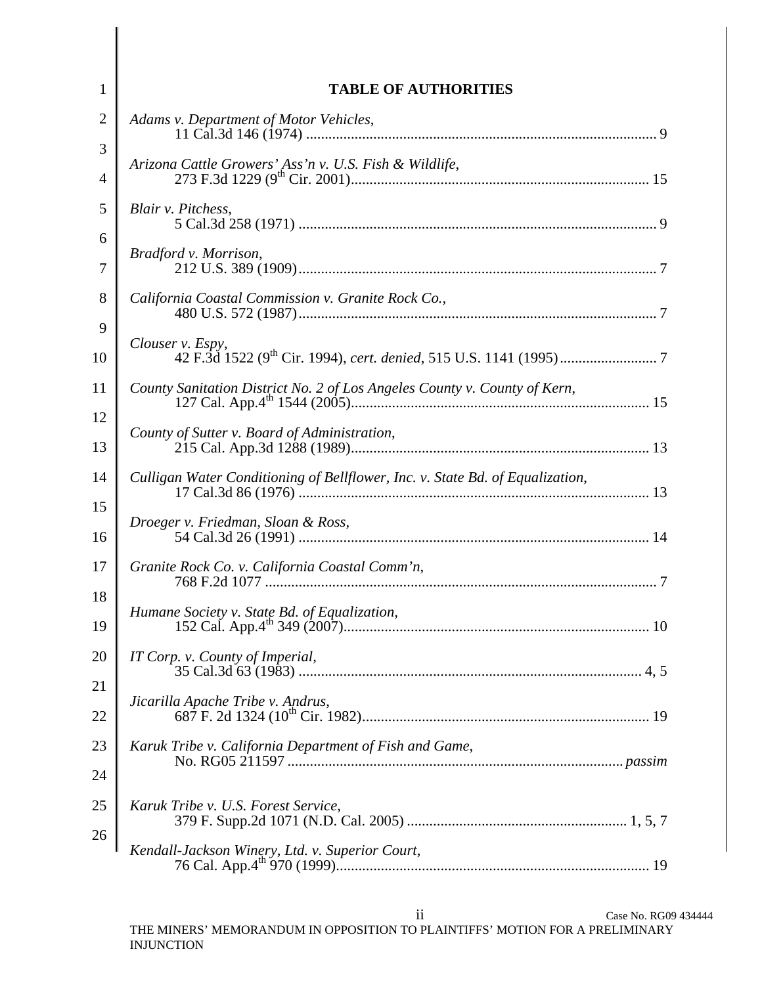| $\mathbf{1}$        | <b>TABLE OF AUTHORITIES</b>                                                   |
|---------------------|-------------------------------------------------------------------------------|
| $\overline{2}$      | Adams v. Department of Motor Vehicles,                                        |
| 3                   | Arizona Cattle Growers' Ass'n v. U.S. Fish & Wildlife,                        |
| $\overline{4}$<br>5 | Blair v. Pitchess,                                                            |
| 6                   |                                                                               |
| $\overline{7}$      | Bradford v. Morrison,                                                         |
| 8                   | California Coastal Commission v. Granite Rock Co.,                            |
| 9                   | Clouser v. Espy,                                                              |
| 10                  |                                                                               |
| 11                  |                                                                               |
| 12                  | County of Sutter v. Board of Administration,                                  |
| 13                  |                                                                               |
| 14                  | Culligan Water Conditioning of Bellflower, Inc. v. State Bd. of Equalization, |
| 15<br>16            | Droeger v. Friedman, Sloan & Ross,                                            |
| 17                  | Granite Rock Co. v. California Coastal Comm'n,                                |
| 18                  |                                                                               |
| 19                  | Humane Society v. State Bd. of Equalization,<br>10 <sup>1</sup>               |
| 20                  | IT Corp. v. County of Imperial,                                               |
| 21                  | Jicarilla Apache Tribe v. Andrus,                                             |
| 22                  |                                                                               |
| 23                  | Karuk Tribe v. California Department of Fish and Game,                        |
| 24                  |                                                                               |
| 25                  | Karuk Tribe v. U.S. Forest Service,                                           |
| 26                  | Kendall-Jackson Winery, Ltd. v. Superior Court,                               |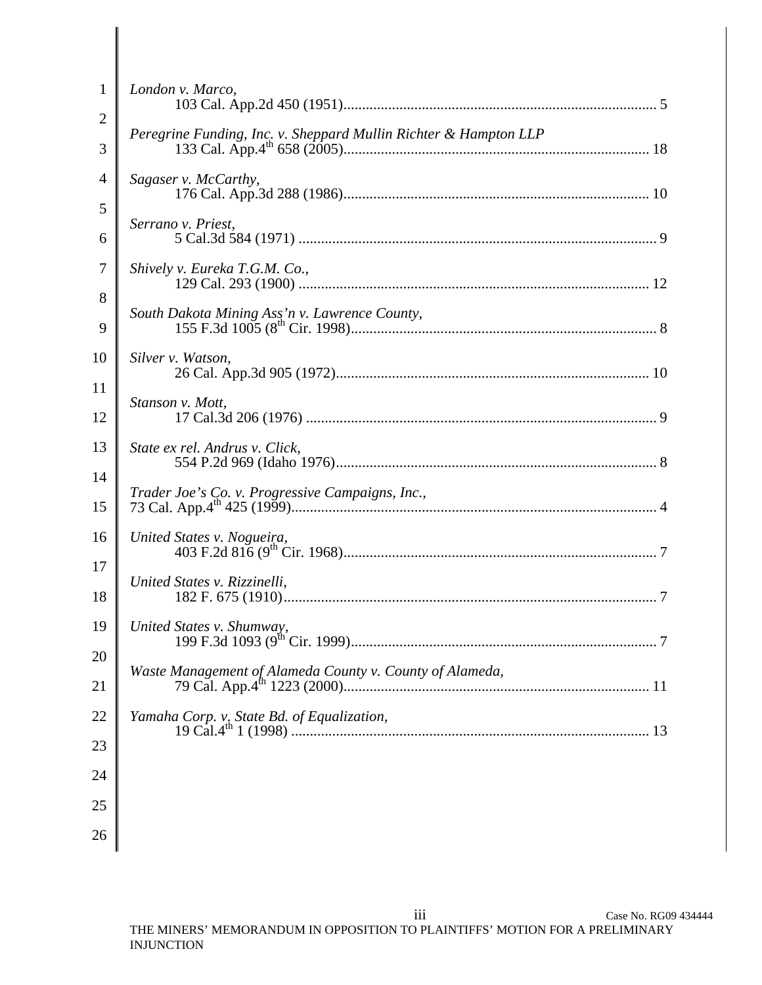| $\mathbf{1}$        | London v. Marco,                                                 |
|---------------------|------------------------------------------------------------------|
| $\mathfrak{2}$<br>3 | Peregrine Funding, Inc. v. Sheppard Mullin Richter & Hampton LLP |
| 4                   | Sagaser v. McCarthy,                                             |
| 5<br>6              | Serrano v. Priest,                                               |
| $\tau$              | Shively v. Eureka T.G.M. Co.,                                    |
| 8<br>9              | South Dakota Mining Ass'n v. Lawrence County,                    |
| 10                  | Silver v. Watson,                                                |
| 11<br>12            | Stanson v. Mott,                                                 |
| 13                  | State ex rel. Andrus v. Click,                                   |
| 14<br>15            | Trader Joe's Co. v. Progressive Campaigns, Inc.,                 |
| 16                  | United States v. Nogueira,                                       |
| 17<br>18            | United States v. Rizzinelli,                                     |
| 19                  | United States v. Shumway,                                        |
| 20<br>21            | Waste Management of Alameda County v. County of Alameda,         |
| 22                  |                                                                  |
| 23                  |                                                                  |
| 24                  |                                                                  |
| 25<br>26            |                                                                  |
|                     |                                                                  |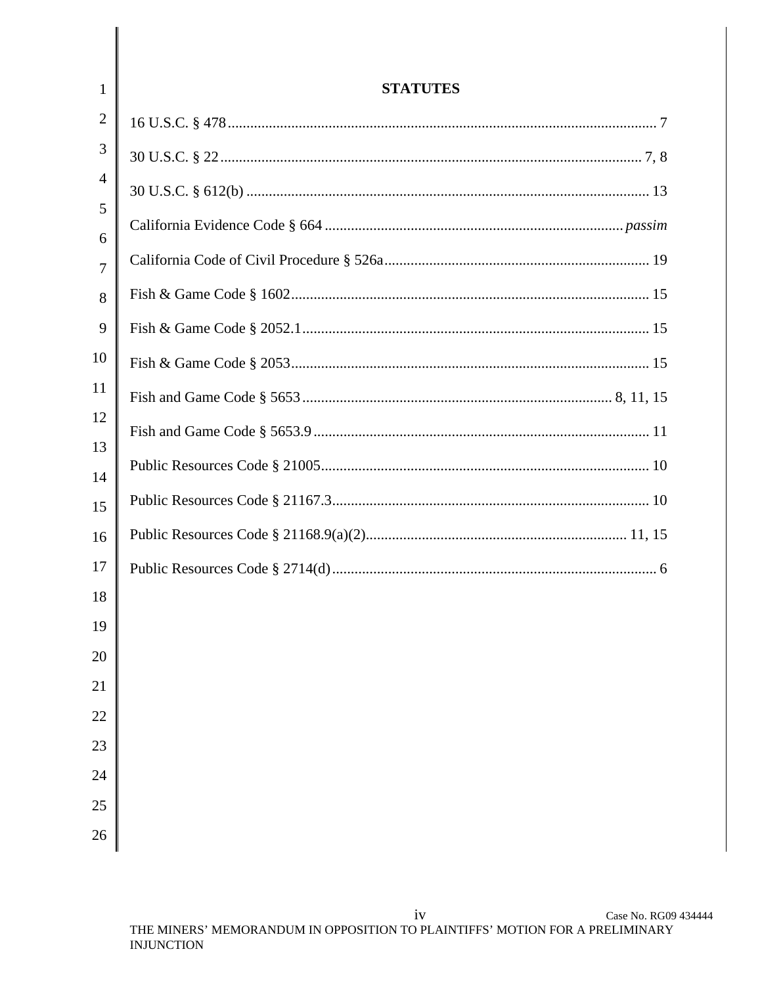| $\mathbf{1}$        | <b>STATUTES</b> |
|---------------------|-----------------|
| 2                   |                 |
| 3                   |                 |
| $\overline{4}$      |                 |
| 5                   |                 |
| 6<br>$\overline{7}$ |                 |
| 8                   |                 |
| 9                   |                 |
| 10                  |                 |
| 11                  |                 |
| 12                  |                 |
| 13<br>14            |                 |
| 15                  |                 |
| 16                  |                 |
| 17                  |                 |
| 18                  |                 |
| 19                  |                 |
| 20                  |                 |
| 21                  |                 |
| 22                  |                 |
| 23                  |                 |
| 24<br>25            |                 |
| 26                  |                 |
|                     |                 |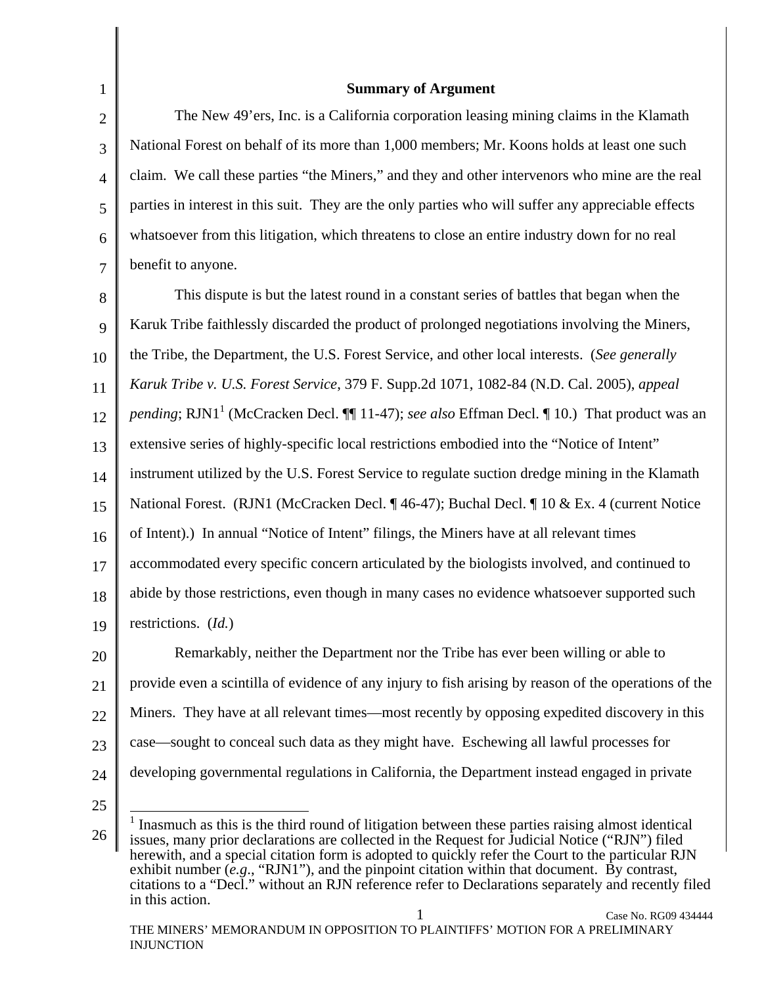2 3 4

5

6

7

1

#### **Summary of Argument**

The New 49'ers, Inc. is a California corporation leasing mining claims in the Klamath National Forest on behalf of its more than 1,000 members; Mr. Koons holds at least one such claim. We call these parties "the Miners," and they and other intervenors who mine are the real parties in interest in this suit. They are the only parties who will suffer any appreciable effects whatsoever from this litigation, which threatens to close an entire industry down for no real benefit to anyone.

8 9 10 11 12 13 14 15 16 17 18 19 This dispute is but the latest round in a constant series of battles that began when the Karuk Tribe faithlessly discarded the product of prolonged negotiations involving the Miners, the Tribe, the Department, the U.S. Forest Service, and other local interests. (*See generally Karuk Tribe v. U.S. Forest Service*, 379 F. Supp.2d 1071, 1082-84 (N.D. Cal. 2005), *appeal*  pending; RJN1<sup>1</sup> (McCracken Decl.  $\P$  11-47); *see also* Effman Decl.  $\P$  10.) That product was an extensive series of highly-specific local restrictions embodied into the "Notice of Intent" instrument utilized by the U.S. Forest Service to regulate suction dredge mining in the Klamath National Forest. (RJN1 (McCracken Decl. ¶ 46-47); Buchal Decl. ¶ 10 & Ex. 4 (current Notice of Intent).) In annual "Notice of Intent" filings, the Miners have at all relevant times accommodated every specific concern articulated by the biologists involved, and continued to abide by those restrictions, even though in many cases no evidence whatsoever supported such restrictions. (*Id.*)

20 21 22 23 24 Remarkably, neither the Department nor the Tribe has ever been willing or able to provide even a scintilla of evidence of any injury to fish arising by reason of the operations of the Miners. They have at all relevant times—most recently by opposing expedited discovery in this case—sought to conceal such data as they might have. Eschewing all lawful processes for developing governmental regulations in California, the Department instead engaged in private

25

<sup>26</sup>  <sup>1</sup> Inasmuch as this is the third round of litigation between these parties raising almost identical issues, many prior declarations are collected in the Request for Judicial Notice ("RJN") filed herewith, and a special citation form is adopted to quickly refer the Court to the particular RJN exhibit number (*e.g.*, "RJN1"), and the pinpoint citation within that document. By contrast, citations to a "Decl." without an RJN reference refer to Declarations separately and recently filed in this action.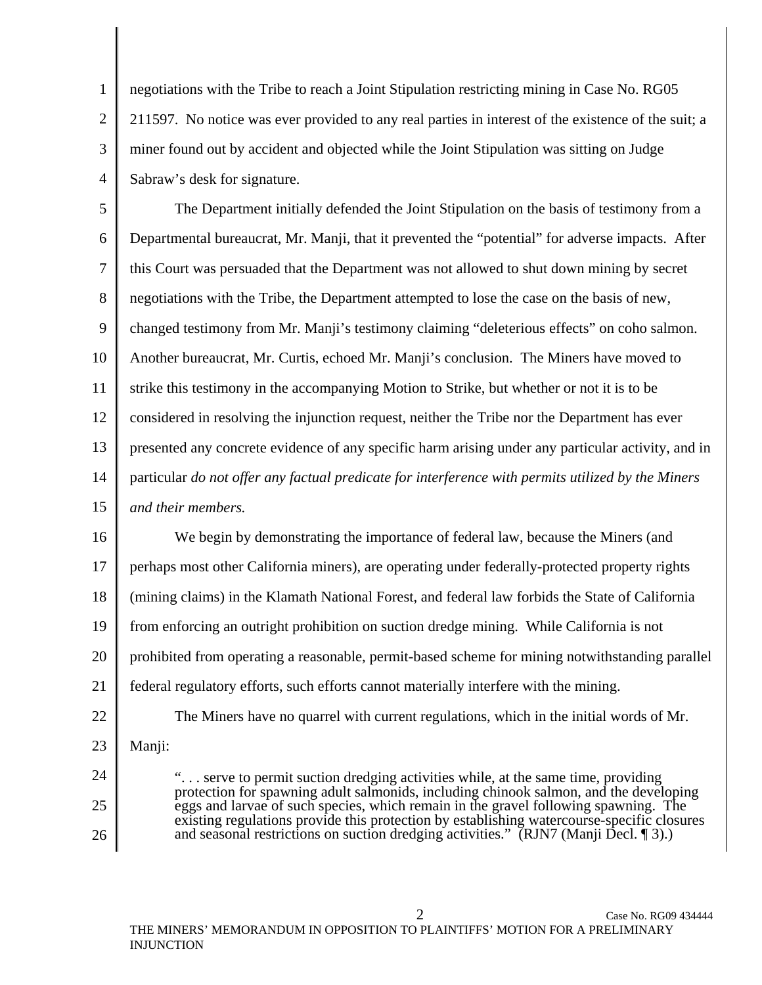2 3 4 negotiations with the Tribe to reach a Joint Stipulation restricting mining in Case No. RG05 211597. No notice was ever provided to any real parties in interest of the existence of the suit; a miner found out by accident and objected while the Joint Stipulation was sitting on Judge Sabraw's desk for signature.

5 6 7 8 9 10 11 12 13 14 15 The Department initially defended the Joint Stipulation on the basis of testimony from a Departmental bureaucrat, Mr. Manji, that it prevented the "potential" for adverse impacts. After this Court was persuaded that the Department was not allowed to shut down mining by secret negotiations with the Tribe, the Department attempted to lose the case on the basis of new, changed testimony from Mr. Manji's testimony claiming "deleterious effects" on coho salmon. Another bureaucrat, Mr. Curtis, echoed Mr. Manji's conclusion. The Miners have moved to strike this testimony in the accompanying Motion to Strike, but whether or not it is to be considered in resolving the injunction request, neither the Tribe nor the Department has ever presented any concrete evidence of any specific harm arising under any particular activity, and in particular *do not offer any factual predicate for interference with permits utilized by the Miners and their members.* 

16 17 18 19 20 21 We begin by demonstrating the importance of federal law, because the Miners (and perhaps most other California miners), are operating under federally-protected property rights (mining claims) in the Klamath National Forest, and federal law forbids the State of California from enforcing an outright prohibition on suction dredge mining. While California is not prohibited from operating a reasonable, permit-based scheme for mining notwithstanding parallel federal regulatory efforts, such efforts cannot materially interfere with the mining.

22

1

The Miners have no quarrel with current regulations, which in the initial words of Mr.

23 Manji:

24

25 26

". . . serve to permit suction dredging activities while, at the same time, providing protection for spawning adult salmonids, including chinook salmon, and the developing eggs and larvae of such species, which remain in the gravel following spawning. The existing regulations provide this protection by establishing watercourse-specific closures and seasonal restrictions on suction dredging activities." (RJN7 (Manji Decl. 13).)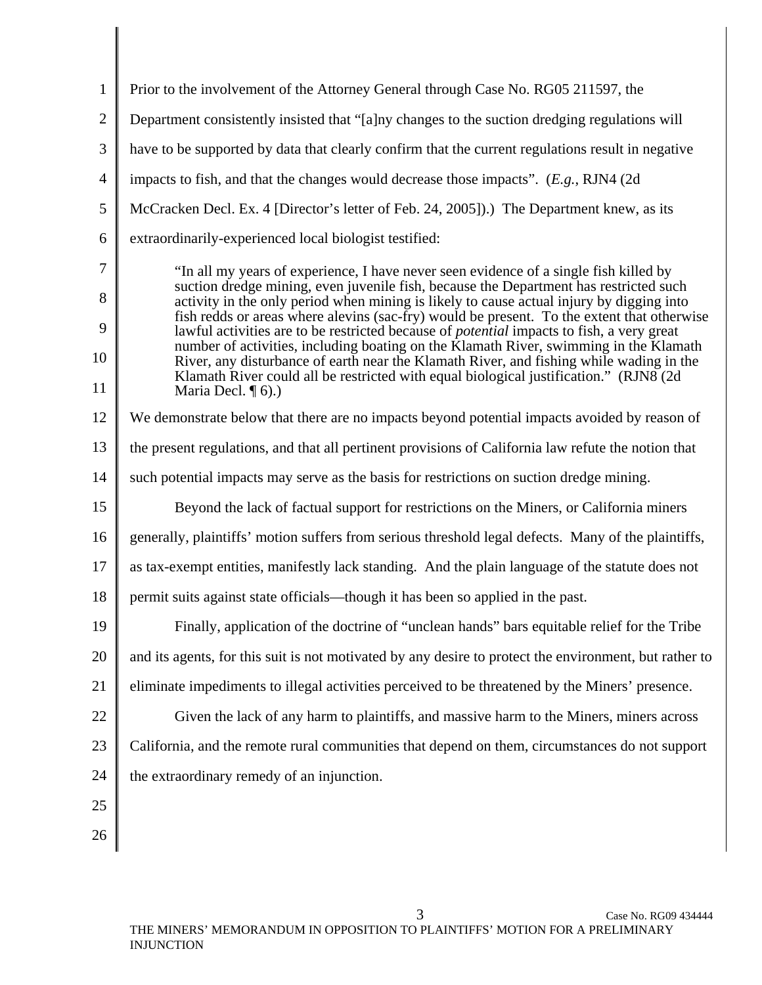| $\mathbf{1}$            | Prior to the involvement of the Attorney General through Case No. RG05 211597, the                                                                                                                                                                                                                                                                                                                                                                                                                                                                                                                                                                                                                                                                                                  |
|-------------------------|-------------------------------------------------------------------------------------------------------------------------------------------------------------------------------------------------------------------------------------------------------------------------------------------------------------------------------------------------------------------------------------------------------------------------------------------------------------------------------------------------------------------------------------------------------------------------------------------------------------------------------------------------------------------------------------------------------------------------------------------------------------------------------------|
| $\overline{2}$          | Department consistently insisted that "[a]ny changes to the suction dredging regulations will                                                                                                                                                                                                                                                                                                                                                                                                                                                                                                                                                                                                                                                                                       |
| 3                       | have to be supported by data that clearly confirm that the current regulations result in negative                                                                                                                                                                                                                                                                                                                                                                                                                                                                                                                                                                                                                                                                                   |
| $\overline{4}$          | impacts to fish, and that the changes would decrease those impacts". $(E.g., RJN4 (2d))$                                                                                                                                                                                                                                                                                                                                                                                                                                                                                                                                                                                                                                                                                            |
| 5                       | McCracken Decl. Ex. 4 [Director's letter of Feb. 24, 2005]).) The Department knew, as its                                                                                                                                                                                                                                                                                                                                                                                                                                                                                                                                                                                                                                                                                           |
| 6                       | extraordinarily-experienced local biologist testified:                                                                                                                                                                                                                                                                                                                                                                                                                                                                                                                                                                                                                                                                                                                              |
| 7<br>8<br>9<br>10<br>11 | "In all my years of experience, I have never seen evidence of a single fish killed by<br>suction dredge mining, even juvenile fish, because the Department has restricted such<br>activity in the only period when mining is likely to cause actual injury by digging into<br>fish redds or areas where alevins (sac-fry) would be present. To the extent that otherwise<br>lawful activities are to be restricted because of <i>potential</i> impacts to fish, a very great<br>number of activities, including boating on the Klamath River, swimming in the Klamath<br>River, any disturbance of earth near the Klamath River, and fishing while wading in the<br>Klamath River could all be restricted with equal biological justification." (RJN8 (2d)<br>Maria Decl. $\P$ 6).) |
| 12                      | We demonstrate below that there are no impacts beyond potential impacts avoided by reason of                                                                                                                                                                                                                                                                                                                                                                                                                                                                                                                                                                                                                                                                                        |
| 13                      | the present regulations, and that all pertinent provisions of California law refute the notion that                                                                                                                                                                                                                                                                                                                                                                                                                                                                                                                                                                                                                                                                                 |
| 14                      | such potential impacts may serve as the basis for restrictions on suction dredge mining.                                                                                                                                                                                                                                                                                                                                                                                                                                                                                                                                                                                                                                                                                            |
| 15                      | Beyond the lack of factual support for restrictions on the Miners, or California miners                                                                                                                                                                                                                                                                                                                                                                                                                                                                                                                                                                                                                                                                                             |
| 16                      | generally, plaintiffs' motion suffers from serious threshold legal defects. Many of the plaintiffs,                                                                                                                                                                                                                                                                                                                                                                                                                                                                                                                                                                                                                                                                                 |
| 17                      | as tax-exempt entities, manifestly lack standing. And the plain language of the statute does not                                                                                                                                                                                                                                                                                                                                                                                                                                                                                                                                                                                                                                                                                    |
| 18                      | permit suits against state officials—though it has been so applied in the past.                                                                                                                                                                                                                                                                                                                                                                                                                                                                                                                                                                                                                                                                                                     |
| 19                      | Finally, application of the doctrine of "unclean hands" bars equitable relief for the Tribe                                                                                                                                                                                                                                                                                                                                                                                                                                                                                                                                                                                                                                                                                         |
| 20                      | and its agents, for this suit is not motivated by any desire to protect the environment, but rather to                                                                                                                                                                                                                                                                                                                                                                                                                                                                                                                                                                                                                                                                              |
| 21                      | eliminate impediments to illegal activities perceived to be threatened by the Miners' presence.                                                                                                                                                                                                                                                                                                                                                                                                                                                                                                                                                                                                                                                                                     |
| 22                      | Given the lack of any harm to plaintiffs, and massive harm to the Miners, miners across                                                                                                                                                                                                                                                                                                                                                                                                                                                                                                                                                                                                                                                                                             |
| 23                      | California, and the remote rural communities that depend on them, circumstances do not support                                                                                                                                                                                                                                                                                                                                                                                                                                                                                                                                                                                                                                                                                      |
| 24                      | the extraordinary remedy of an injunction.                                                                                                                                                                                                                                                                                                                                                                                                                                                                                                                                                                                                                                                                                                                                          |
| 25                      |                                                                                                                                                                                                                                                                                                                                                                                                                                                                                                                                                                                                                                                                                                                                                                                     |
| 26                      |                                                                                                                                                                                                                                                                                                                                                                                                                                                                                                                                                                                                                                                                                                                                                                                     |
|                         |                                                                                                                                                                                                                                                                                                                                                                                                                                                                                                                                                                                                                                                                                                                                                                                     |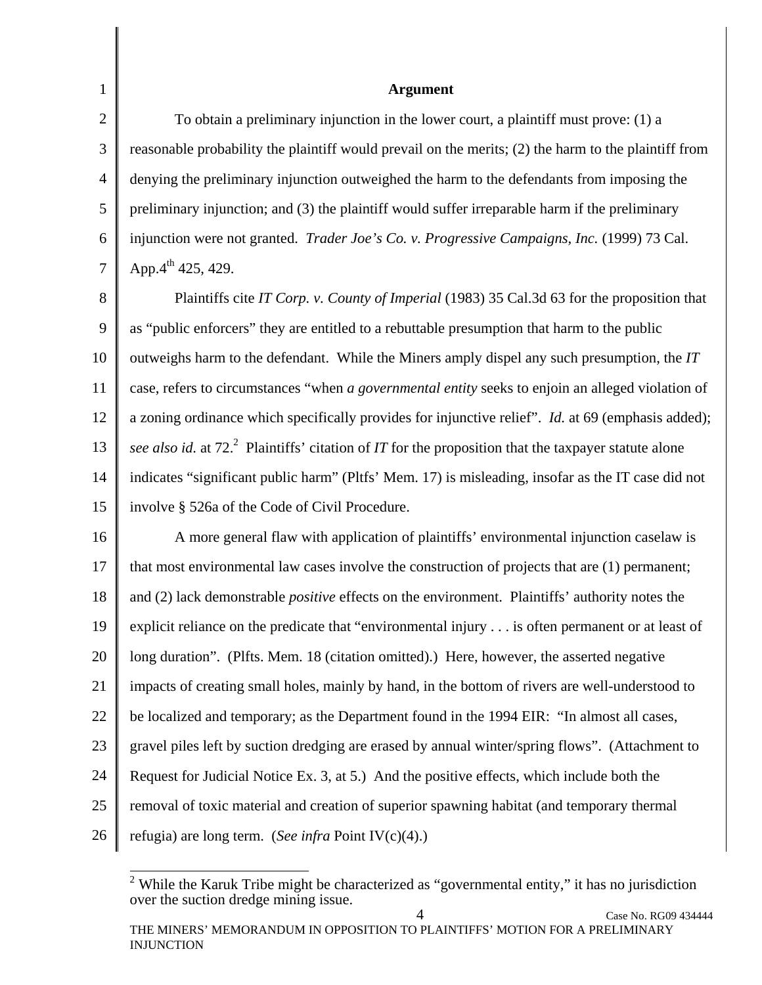2 3 4 5 6 7 **Argument**  To obtain a preliminary injunction in the lower court, a plaintiff must prove: (1) a reasonable probability the plaintiff would prevail on the merits; (2) the harm to the plaintiff from denying the preliminary injunction outweighed the harm to the defendants from imposing the preliminary injunction; and (3) the plaintiff would suffer irreparable harm if the preliminary injunction were not granted. *Trader Joe's Co. v. Progressive Campaigns, Inc.* (1999) 73 Cal. App. $4^{th}$  425, 429.

1

8 9 10 11 12 13 14 15 Plaintiffs cite *IT Corp. v. County of Imperial* (1983) 35 Cal.3d 63 for the proposition that as "public enforcers" they are entitled to a rebuttable presumption that harm to the public outweighs harm to the defendant. While the Miners amply dispel any such presumption, the *IT* case, refers to circumstances "when *a governmental entity* seeks to enjoin an alleged violation of a zoning ordinance which specifically provides for injunctive relief". *Id.* at 69 (emphasis added); see also id. at 72.<sup>2</sup> Plaintiffs' citation of *IT* for the proposition that the taxpayer statute alone indicates "significant public harm" (Pltfs' Mem. 17) is misleading, insofar as the IT case did not involve § 526a of the Code of Civil Procedure.

16 17 18 19 20 21 22 23 24 25 26 A more general flaw with application of plaintiffs' environmental injunction caselaw is that most environmental law cases involve the construction of projects that are (1) permanent; and (2) lack demonstrable *positive* effects on the environment. Plaintiffs' authority notes the explicit reliance on the predicate that "environmental injury . . . is often permanent or at least of long duration". (Plfts. Mem. 18 (citation omitted).) Here, however, the asserted negative impacts of creating small holes, mainly by hand, in the bottom of rivers are well-understood to be localized and temporary; as the Department found in the 1994 EIR: "In almost all cases, gravel piles left by suction dredging are erased by annual winter/spring flows". (Attachment to Request for Judicial Notice Ex. 3, at 5.) And the positive effects, which include both the removal of toxic material and creation of superior spawning habitat (and temporary thermal refugia) are long term. (*See infra* Point IV(c)(4).)

<sup>&</sup>lt;sup>2</sup> While the Karuk Tribe might be characterized as "governmental entity," it has no jurisdiction over the suction dredge mining issue.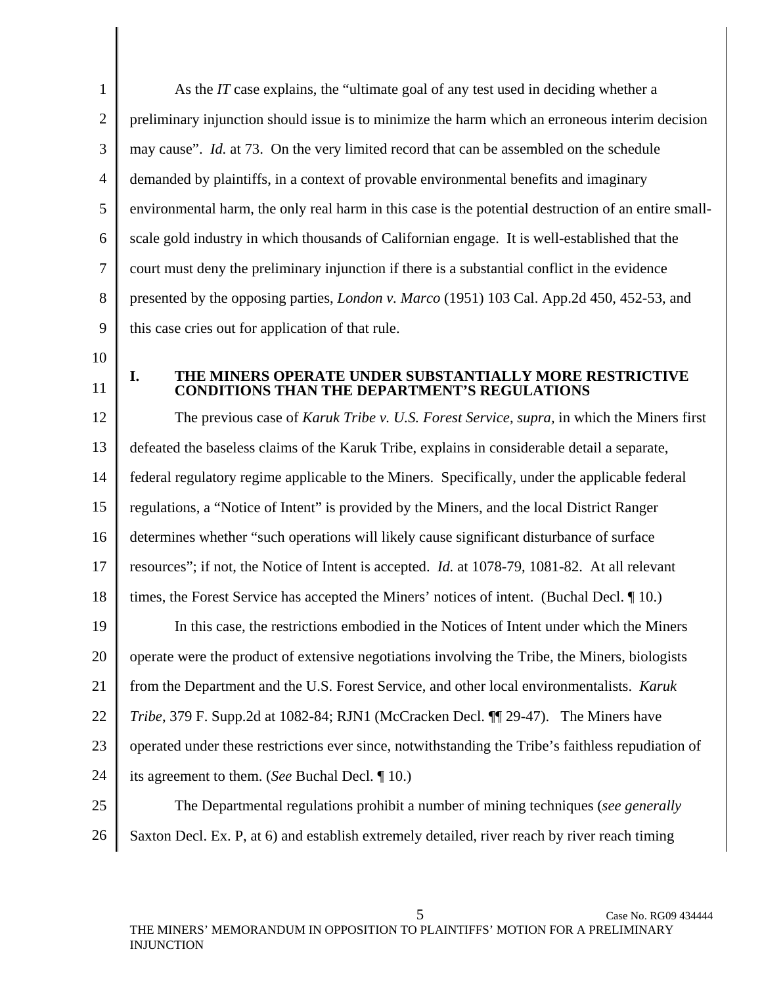1 2 3 4 5 6 7 8 9 10 11 12 13 14 15 16 17 18 19 20 21 22 23 24 25 26 As the *IT* case explains, the "ultimate goal of any test used in deciding whether a preliminary injunction should issue is to minimize the harm which an erroneous interim decision may cause". *Id.* at 73. On the very limited record that can be assembled on the schedule demanded by plaintiffs, in a context of provable environmental benefits and imaginary environmental harm, the only real harm in this case is the potential destruction of an entire smallscale gold industry in which thousands of Californian engage. It is well-established that the court must deny the preliminary injunction if there is a substantial conflict in the evidence presented by the opposing parties, *London v. Marco* (1951) 103 Cal. App.2d 450, 452-53, and this case cries out for application of that rule. **I. THE MINERS OPERATE UNDER SUBSTANTIALLY MORE RESTRICTIVE CONDITIONS THAN THE DEPARTMENT'S REGULATIONS**  The previous case of *Karuk Tribe v. U.S. Forest Service*, *supra,* in which the Miners first defeated the baseless claims of the Karuk Tribe, explains in considerable detail a separate, federal regulatory regime applicable to the Miners. Specifically, under the applicable federal regulations, a "Notice of Intent" is provided by the Miners, and the local District Ranger determines whether "such operations will likely cause significant disturbance of surface resources"; if not, the Notice of Intent is accepted. *Id.* at 1078-79, 1081-82. At all relevant times, the Forest Service has accepted the Miners' notices of intent. (Buchal Decl. ¶ 10.) In this case, the restrictions embodied in the Notices of Intent under which the Miners operate were the product of extensive negotiations involving the Tribe, the Miners, biologists from the Department and the U.S. Forest Service, and other local environmentalists. *Karuk Tribe*, 379 F. Supp.2d at 1082-84; RJN1 (McCracken Decl. ¶¶ 29-47). The Miners have operated under these restrictions ever since, notwithstanding the Tribe's faithless repudiation of its agreement to them. (*See* Buchal Decl. ¶ 10.) The Departmental regulations prohibit a number of mining techniques (*see generally* Saxton Decl. Ex. P, at 6) and establish extremely detailed, river reach by river reach timing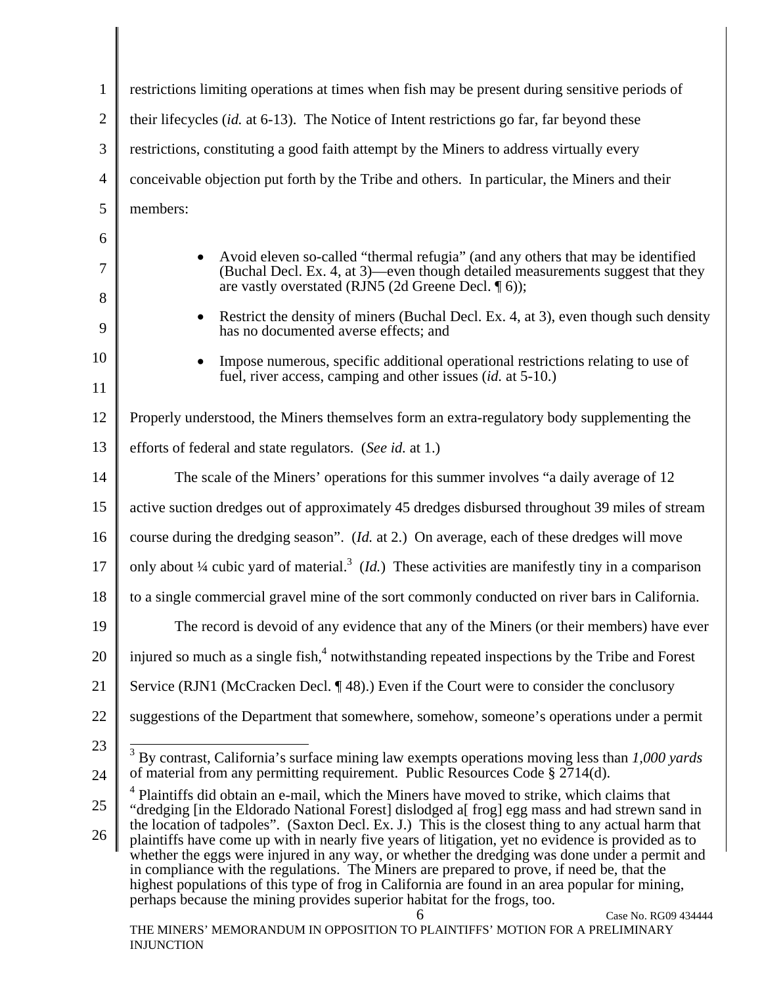| $\mathbf{1}$   | restrictions limiting operations at times when fish may be present during sensitive periods of                                                                                                                                                                                                                                                                                                                                                                                                                                                                                                                                                                                                                        |  |
|----------------|-----------------------------------------------------------------------------------------------------------------------------------------------------------------------------------------------------------------------------------------------------------------------------------------------------------------------------------------------------------------------------------------------------------------------------------------------------------------------------------------------------------------------------------------------------------------------------------------------------------------------------------------------------------------------------------------------------------------------|--|
| $\overline{2}$ | their lifecycles (id. at 6-13). The Notice of Intent restrictions go far, far beyond these                                                                                                                                                                                                                                                                                                                                                                                                                                                                                                                                                                                                                            |  |
| 3              | restrictions, constituting a good faith attempt by the Miners to address virtually every                                                                                                                                                                                                                                                                                                                                                                                                                                                                                                                                                                                                                              |  |
| $\overline{4}$ | conceivable objection put forth by the Tribe and others. In particular, the Miners and their                                                                                                                                                                                                                                                                                                                                                                                                                                                                                                                                                                                                                          |  |
| 5              | members:                                                                                                                                                                                                                                                                                                                                                                                                                                                                                                                                                                                                                                                                                                              |  |
| 6              |                                                                                                                                                                                                                                                                                                                                                                                                                                                                                                                                                                                                                                                                                                                       |  |
| 7              | Avoid eleven so-called "thermal refugia" (and any others that may be identified<br>(Buchal Decl. Ex. 4, at 3)—even though detailed measurements suggest that they<br>are vastly overstated (RJN5 (2d Greene Decl. ¶ 6));                                                                                                                                                                                                                                                                                                                                                                                                                                                                                              |  |
| 8<br>9         | Restrict the density of miners (Buchal Decl. Ex. 4, at 3), even though such density<br>$\bullet$<br>has no documented averse effects; and                                                                                                                                                                                                                                                                                                                                                                                                                                                                                                                                                                             |  |
| 10<br>11       | Impose numerous, specific additional operational restrictions relating to use of<br>fuel, river access, camping and other issues (id. at 5-10.)                                                                                                                                                                                                                                                                                                                                                                                                                                                                                                                                                                       |  |
| 12             | Properly understood, the Miners themselves form an extra-regulatory body supplementing the                                                                                                                                                                                                                                                                                                                                                                                                                                                                                                                                                                                                                            |  |
| 13             | efforts of federal and state regulators. (See id. at 1.)                                                                                                                                                                                                                                                                                                                                                                                                                                                                                                                                                                                                                                                              |  |
| 14             | The scale of the Miners' operations for this summer involves "a daily average of 12                                                                                                                                                                                                                                                                                                                                                                                                                                                                                                                                                                                                                                   |  |
| 15             | active suction dredges out of approximately 45 dredges disbursed throughout 39 miles of stream                                                                                                                                                                                                                                                                                                                                                                                                                                                                                                                                                                                                                        |  |
| 16             | course during the dredging season". ( <i>Id.</i> at 2.) On average, each of these dredges will move                                                                                                                                                                                                                                                                                                                                                                                                                                                                                                                                                                                                                   |  |
| 17             | only about $\frac{1}{4}$ cubic yard of material. <sup>3</sup> ( <i>Id.</i> ) These activities are manifestly tiny in a comparison                                                                                                                                                                                                                                                                                                                                                                                                                                                                                                                                                                                     |  |
| 18             | to a single commercial gravel mine of the sort commonly conducted on river bars in California.                                                                                                                                                                                                                                                                                                                                                                                                                                                                                                                                                                                                                        |  |
| 19             | The record is devoid of any evidence that any of the Miners (or their members) have ever                                                                                                                                                                                                                                                                                                                                                                                                                                                                                                                                                                                                                              |  |
| 20             | injured so much as a single fish, <sup>4</sup> notwithstanding repeated inspections by the Tribe and Forest                                                                                                                                                                                                                                                                                                                                                                                                                                                                                                                                                                                                           |  |
| 21             | Service (RJN1 (McCracken Decl. $\P$ 48).) Even if the Court were to consider the conclusory                                                                                                                                                                                                                                                                                                                                                                                                                                                                                                                                                                                                                           |  |
| 22             | suggestions of the Department that somewhere, somehow, someone's operations under a permit                                                                                                                                                                                                                                                                                                                                                                                                                                                                                                                                                                                                                            |  |
| 23             | 3<br>By contrast, California's surface mining law exempts operations moving less than 1,000 yards<br>of material from any permitting requirement. Public Resources Code § 2714(d).                                                                                                                                                                                                                                                                                                                                                                                                                                                                                                                                    |  |
| 24<br>25<br>26 | <sup>4</sup> Plaintiffs did obtain an e-mail, which the Miners have moved to strike, which claims that<br>"dredging [in the Eldorado National Forest] dislodged a[frog] egg mass and had strewn sand in<br>the location of tadpoles". (Saxton Decl. Ex. J.) This is the closest thing to any actual harm that<br>plaintiffs have come up with in nearly five years of litigation, yet no evidence is provided as to<br>whether the eggs were injured in any way, or whether the dredging was done under a permit and<br>in compliance with the regulations. The Miners are prepared to prove, if need be, that the<br>highest populations of this type of frog in California are found in an area popular for mining, |  |
|                | perhaps because the mining provides superior habitat for the frogs, too.<br>6<br>Case No. RG09 434444<br>THE MINERS' MEMORANDUM IN OPPOSITION TO PLAINTIFFS' MOTION FOR A PRELIMINARY<br><b>INJUNCTION</b>                                                                                                                                                                                                                                                                                                                                                                                                                                                                                                            |  |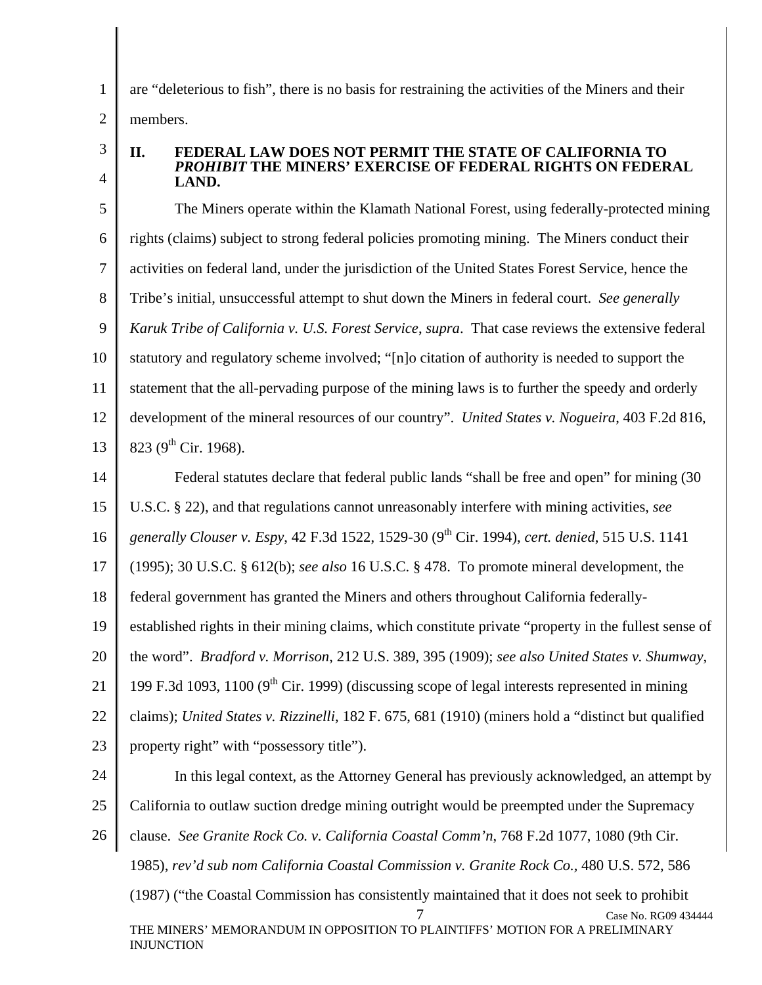are "deleterious to fish", there is no basis for restraining the activities of the Miners and their members.

3 4

1

2

#### **II. FEDERAL LAW DOES NOT PERMIT THE STATE OF CALIFORNIA TO**  *PROHIBIT* **THE MINERS' EXERCISE OF FEDERAL RIGHTS ON FEDERAL LAND.**

5 6 7 8 9 10 11 12 13 The Miners operate within the Klamath National Forest, using federally-protected mining rights (claims) subject to strong federal policies promoting mining. The Miners conduct their activities on federal land, under the jurisdiction of the United States Forest Service, hence the Tribe's initial, unsuccessful attempt to shut down the Miners in federal court. *See generally Karuk Tribe of California v. U.S. Forest Service*, *supra*. That case reviews the extensive federal statutory and regulatory scheme involved; "[n]o citation of authority is needed to support the statement that the all-pervading purpose of the mining laws is to further the speedy and orderly development of the mineral resources of our country". *United States v. Nogueira*, 403 F.2d 816, 823 (9<sup>th</sup> Cir. 1968).

14 15 16 17 18 19 20 21 Federal statutes declare that federal public lands "shall be free and open" for mining (30 U.S.C. § 22), and that regulations cannot unreasonably interfere with mining activities, *see generally Clouser v. Espy*, 42 F.3d 1522, 1529-30 (9th Cir. 1994), *cert. denied*, 515 U.S. 1141 (1995); 30 U.S.C. § 612(b); *see also* 16 U.S.C. § 478. To promote mineral development, the federal government has granted the Miners and others throughout California federallyestablished rights in their mining claims, which constitute private "property in the fullest sense of the word". *Bradford v. Morrison*, 212 U.S. 389, 395 (1909); *see also United States v. Shumway*, 199 F.3d 1093, 1100 ( $9<sup>th</sup>$  Cir. 1999) (discussing scope of legal interests represented in mining

22 23 claims); *United States v. Rizzinelli*, 182 F. 675, 681 (1910) (miners hold a "distinct but qualified property right" with "possessory title").

24

25 26 Case No. RG09 434444 THE MINERS' MEMORANDUM IN OPPOSITION TO PLAINTIFFS' MOTION FOR A PRELIMINARY INJUNCTION In this legal context, as the Attorney General has previously acknowledged, an attempt by California to outlaw suction dredge mining outright would be preempted under the Supremacy clause. *See Granite Rock Co. v. California Coastal Comm'n*, 768 F.2d 1077, 1080 (9th Cir. 1985), *rev'd sub nom California Coastal Commission v. Granite Rock Co.,* 480 U.S. 572, 586 (1987) ("the Coastal Commission has consistently maintained that it does not seek to prohibit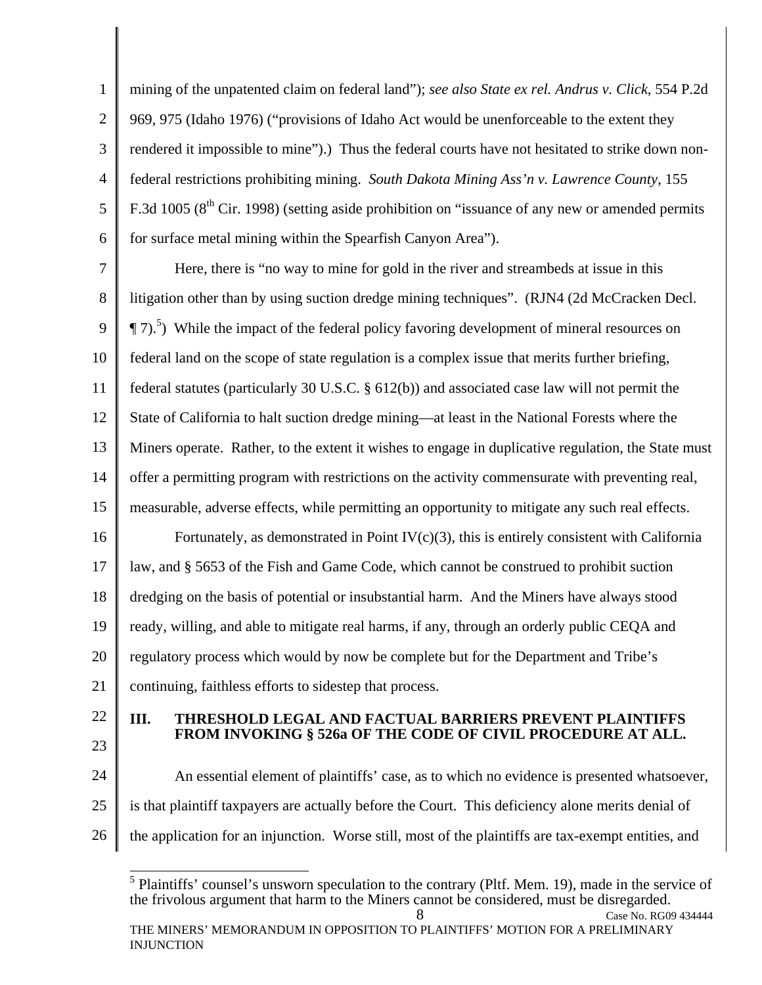1 2 3 4 5 6 mining of the unpatented claim on federal land"); *see also State ex rel. Andrus v. Click*, 554 P.2d 969, 975 (Idaho 1976) ("provisions of Idaho Act would be unenforceable to the extent they rendered it impossible to mine").) Thus the federal courts have not hesitated to strike down nonfederal restrictions prohibiting mining. *South Dakota Mining Ass'n v. Lawrence County*, 155 F.3d 1005 ( $8<sup>th</sup>$  Cir. 1998) (setting aside prohibition on "issuance of any new or amended permits for surface metal mining within the Spearfish Canyon Area").

7 8 9 10 11 12 13 14 15 16 17 18 19 20 21 Here, there is "no way to mine for gold in the river and streambeds at issue in this litigation other than by using suction dredge mining techniques". (RJN4 (2d McCracken Decl.  $\P$  7).<sup>5</sup>) While the impact of the federal policy favoring development of mineral resources on federal land on the scope of state regulation is a complex issue that merits further briefing, federal statutes (particularly 30 U.S.C. § 612(b)) and associated case law will not permit the State of California to halt suction dredge mining—at least in the National Forests where the Miners operate. Rather, to the extent it wishes to engage in duplicative regulation, the State must offer a permitting program with restrictions on the activity commensurate with preventing real, measurable, adverse effects, while permitting an opportunity to mitigate any such real effects. Fortunately, as demonstrated in Point  $IV(c)(3)$ , this is entirely consistent with California law, and § 5653 of the Fish and Game Code, which cannot be construed to prohibit suction dredging on the basis of potential or insubstantial harm. And the Miners have always stood ready, willing, and able to mitigate real harms, if any, through an orderly public CEQA and regulatory process which would by now be complete but for the Department and Tribe's continuing, faithless efforts to sidestep that process.

- 22
- 23

#### **III. THRESHOLD LEGAL AND FACTUAL BARRIERS PREVENT PLAINTIFFS FROM INVOKING § 526a OF THE CODE OF CIVIL PROCEDURE AT ALL.**

24 25 26 An essential element of plaintiffs' case, as to which no evidence is presented whatsoever, is that plaintiff taxpayers are actually before the Court. This deficiency alone merits denial of the application for an injunction. Worse still, most of the plaintiffs are tax-exempt entities, and

<sup>8</sup> Case No. RG09 434444 <sup>5</sup> Plaintiffs' counsel's unsworn speculation to the contrary (Pltf. Mem. 19), made in the service of the frivolous argument that harm to the Miners cannot be considered, must be disregarded.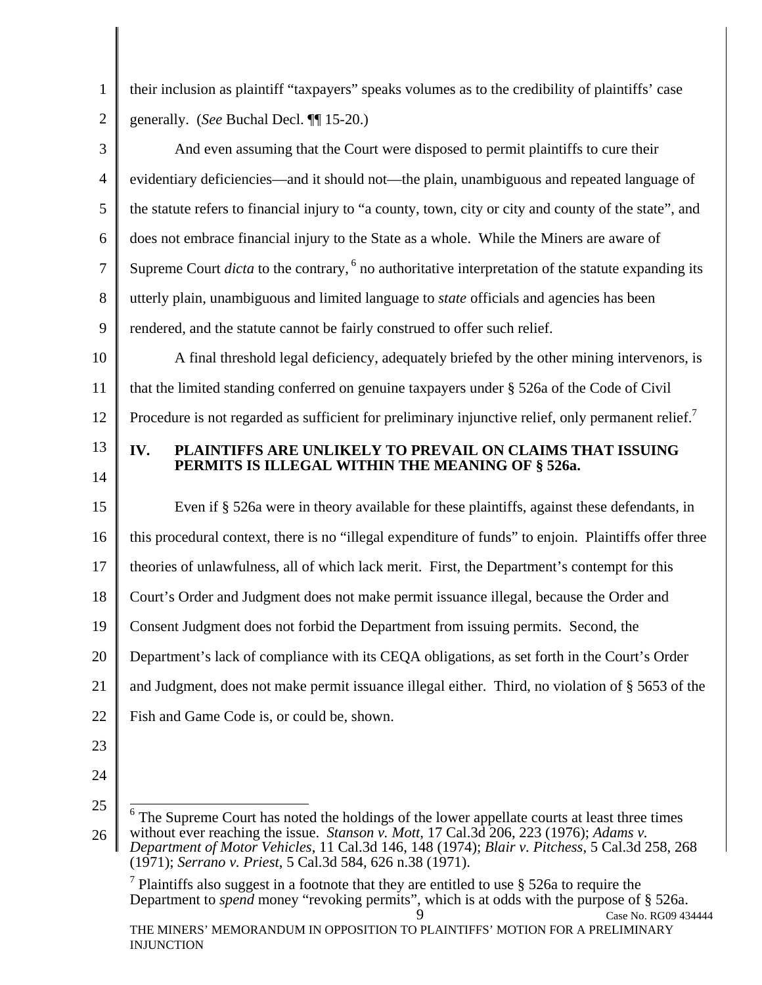their inclusion as plaintiff "taxpayers" speaks volumes as to the credibility of plaintiffs' case generally. (*See* Buchal Decl. ¶¶ 15-20.)

3 4 5 6 7 8 9 And even assuming that the Court were disposed to permit plaintiffs to cure their evidentiary deficiencies—and it should not—the plain, unambiguous and repeated language of the statute refers to financial injury to "a county, town, city or city and county of the state", and does not embrace financial injury to the State as a whole. While the Miners are aware of Supreme Court *dicta* to the contrary, <sup>6</sup> no authoritative interpretation of the statute expanding its utterly plain, unambiguous and limited language to *state* officials and agencies has been rendered, and the statute cannot be fairly construed to offer such relief.

10 11 12 A final threshold legal deficiency, adequately briefed by the other mining intervenors, is that the limited standing conferred on genuine taxpayers under § 526a of the Code of Civil Procedure is not regarded as sufficient for preliminary injunctive relief, only permanent relief.<sup>7</sup>

13 14

1

2

# **IV. PLAINTIFFS ARE UNLIKELY TO PREVAIL ON CLAIMS THAT ISSUING PERMITS IS ILLEGAL WITHIN THE MEANING OF § 526a.**

15 16 17 18 19 20 21 22 Even if § 526a were in theory available for these plaintiffs, against these defendants, in this procedural context, there is no "illegal expenditure of funds" to enjoin. Plaintiffs offer three theories of unlawfulness, all of which lack merit. First, the Department's contempt for this Court's Order and Judgment does not make permit issuance illegal, because the Order and Consent Judgment does not forbid the Department from issuing permits. Second, the Department's lack of compliance with its CEQA obligations, as set forth in the Court's Order and Judgment, does not make permit issuance illegal either. Third, no violation of § 5653 of the Fish and Game Code is, or could be, shown.

- 
- 23 24
- 25

Case No. RG09 434444 THE MINERS' MEMORANDUM IN OPPOSITION TO PLAINTIFFS' MOTION FOR A PRELIMINARY INJUNCTION <sup>7</sup> Plaintiffs also suggest in a footnote that they are entitled to use  $\S$  526a to require the Department to *spend* money "revoking permits", which is at odds with the purpose of § 526a.

<sup>26</sup>  <sup>6</sup> The Supreme Court has noted the holdings of the lower appellate courts at least three times without ever reaching the issue. *Stanson v. Mott*, 17 Cal.3d 206, 223 (1976); *Adams v. Department of Motor Vehicles*, 11 Cal.3d 146, 148 (1974); *Blair v. Pitchess*, 5 Cal.3d 258, 268 (1971); *Serrano v. Priest*, 5 Cal.3d 584, 626 n.38 (1971).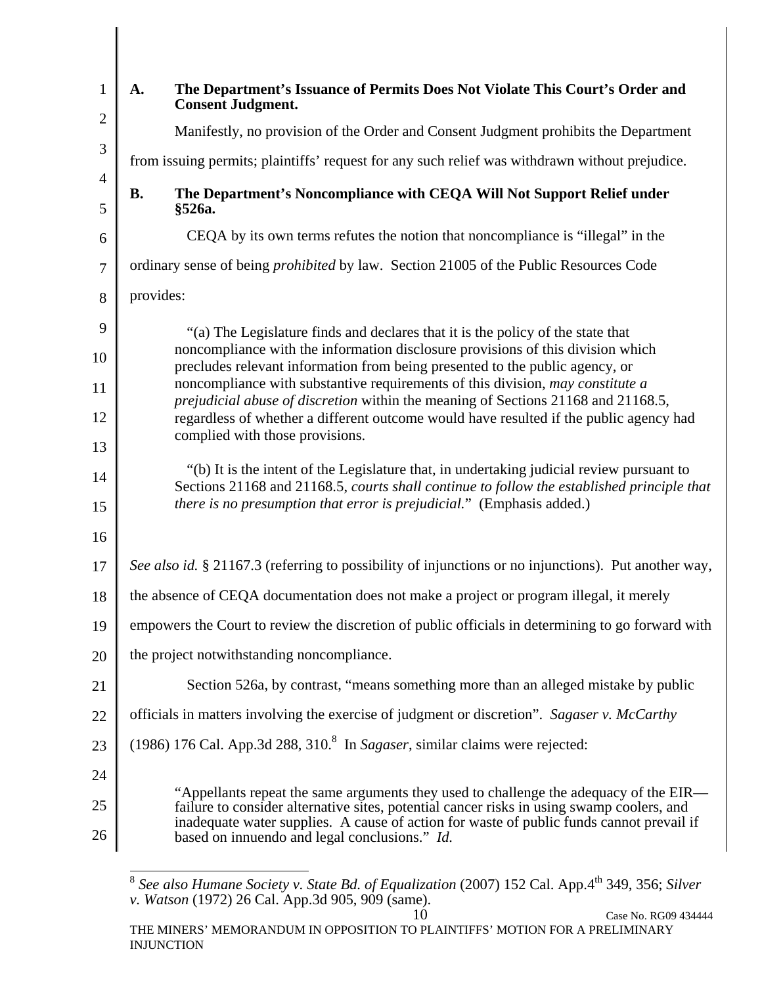| $\mathbf{1}$        | The Department's Issuance of Permits Does Not Violate This Court's Order and<br>A.<br><b>Consent Judgment.</b>                                                                                                                                                                                                                  |  |  |
|---------------------|---------------------------------------------------------------------------------------------------------------------------------------------------------------------------------------------------------------------------------------------------------------------------------------------------------------------------------|--|--|
| $\overline{2}$      | Manifestly, no provision of the Order and Consent Judgment prohibits the Department                                                                                                                                                                                                                                             |  |  |
| $\mathfrak{Z}$      | from issuing permits; plaintiffs' request for any such relief was withdrawn without prejudice.                                                                                                                                                                                                                                  |  |  |
| $\overline{4}$<br>5 | The Department's Noncompliance with CEQA Will Not Support Relief under<br><b>B.</b><br>§526a.                                                                                                                                                                                                                                   |  |  |
| 6                   | CEQA by its own terms refutes the notion that noncompliance is "illegal" in the                                                                                                                                                                                                                                                 |  |  |
| $\overline{7}$      | ordinary sense of being <i>prohibited</i> by law. Section 21005 of the Public Resources Code                                                                                                                                                                                                                                    |  |  |
| 8                   | provides:                                                                                                                                                                                                                                                                                                                       |  |  |
| 9                   | "(a) The Legislature finds and declares that it is the policy of the state that                                                                                                                                                                                                                                                 |  |  |
| 10                  | noncompliance with the information disclosure provisions of this division which<br>precludes relevant information from being presented to the public agency, or                                                                                                                                                                 |  |  |
| 11                  | noncompliance with substantive requirements of this division, may constitute a                                                                                                                                                                                                                                                  |  |  |
| 12                  | prejudicial abuse of discretion within the meaning of Sections 21168 and 21168.5,<br>regardless of whether a different outcome would have resulted if the public agency had                                                                                                                                                     |  |  |
| 13                  | complied with those provisions.                                                                                                                                                                                                                                                                                                 |  |  |
| 14                  | "(b) It is the intent of the Legislature that, in undertaking judicial review pursuant to<br>Sections 21168 and 21168.5, courts shall continue to follow the established principle that<br>there is no presumption that error is prejudicial." (Emphasis added.)                                                                |  |  |
| 15                  |                                                                                                                                                                                                                                                                                                                                 |  |  |
| 16                  |                                                                                                                                                                                                                                                                                                                                 |  |  |
| 17                  | See also id. § 21167.3 (referring to possibility of injunctions or no injunctions). Put another way,                                                                                                                                                                                                                            |  |  |
| 18                  | the absence of CEQA documentation does not make a project or program illegal, it merely                                                                                                                                                                                                                                         |  |  |
| 19                  | empowers the Court to review the discretion of public officials in determining to go forward with                                                                                                                                                                                                                               |  |  |
| 20                  | the project notwithstanding noncompliance.                                                                                                                                                                                                                                                                                      |  |  |
| 21                  | Section 526a, by contrast, "means something more than an alleged mistake by public                                                                                                                                                                                                                                              |  |  |
| 22                  | officials in matters involving the exercise of judgment or discretion". Sagaser v. McCarthy                                                                                                                                                                                                                                     |  |  |
| 23                  | (1986) 176 Cal. App.3d 288, 310.8 In Sagaser, similar claims were rejected:                                                                                                                                                                                                                                                     |  |  |
| 24                  |                                                                                                                                                                                                                                                                                                                                 |  |  |
| 25<br>26            | "Appellants repeat the same arguments they used to challenge the adequacy of the EIR—<br>failure to consider alternative sites, potential cancer risks in using swamp coolers, and<br>inadequate water supplies. A cause of action for waste of public funds cannot prevail if<br>based on innuendo and legal conclusions." Id. |  |  |

 $\overline{a}$ <sup>8</sup> See also Humane Society v. State Bd. of Equalization (2007) 152 Cal. App.4<sup>th</sup> 349, 356; Silver *v. Watson* (1972) 26 Cal. App.3d 905, 909 (same).

THE MINERS' MEMORANDUM IN OPPOSITION TO PLAINTIFFS' MOTION FOR A PRELIMINARY INJUNCTION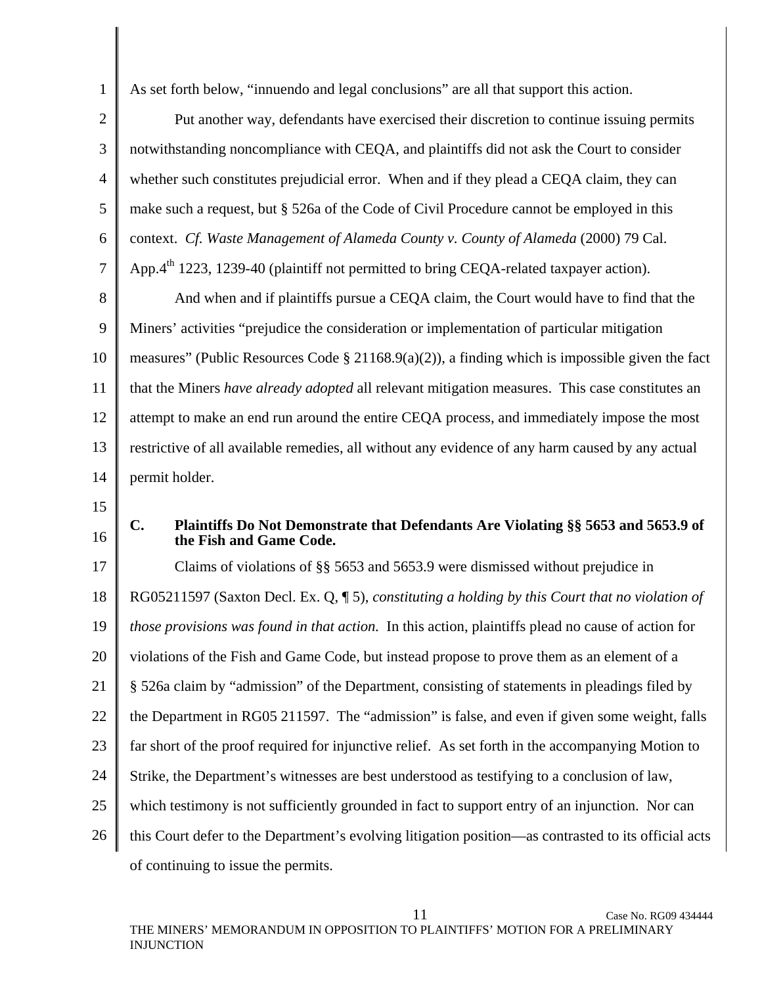As set forth below, "innuendo and legal conclusions" are all that support this action.

2 3 4 5 6 7 8 Put another way, defendants have exercised their discretion to continue issuing permits notwithstanding noncompliance with CEQA, and plaintiffs did not ask the Court to consider whether such constitutes prejudicial error. When and if they plead a CEQA claim, they can make such a request, but § 526a of the Code of Civil Procedure cannot be employed in this context. *Cf. Waste Management of Alameda County v. County of Alameda* (2000) 79 Cal. App. $4<sup>th</sup>$  1223, 1239-40 (plaintiff not permitted to bring CEQA-related taxpayer action). And when and if plaintiffs pursue a CEQA claim, the Court would have to find that the

9 10 11 12 13 14 Miners' activities "prejudice the consideration or implementation of particular mitigation measures" (Public Resources Code § 21168.9(a)(2)), a finding which is impossible given the fact that the Miners *have already adopted* all relevant mitigation measures. This case constitutes an attempt to make an end run around the entire CEQA process, and immediately impose the most restrictive of all available remedies, all without any evidence of any harm caused by any actual permit holder.

15

1

16

#### **C. Plaintiffs Do Not Demonstrate that Defendants Are Violating §§ 5653 and 5653.9 of the Fish and Game Code.**

17 18 19 20 21 22 23 24 25 26 Claims of violations of §§ 5653 and 5653.9 were dismissed without prejudice in RG05211597 (Saxton Decl. Ex. Q, ¶ 5), *constituting a holding by this Court that no violation of those provisions was found in that action.* In this action, plaintiffs plead no cause of action for violations of the Fish and Game Code, but instead propose to prove them as an element of a § 526a claim by "admission" of the Department, consisting of statements in pleadings filed by the Department in RG05 211597. The "admission" is false, and even if given some weight, falls far short of the proof required for injunctive relief. As set forth in the accompanying Motion to Strike, the Department's witnesses are best understood as testifying to a conclusion of law, which testimony is not sufficiently grounded in fact to support entry of an injunction. Nor can this Court defer to the Department's evolving litigation position—as contrasted to its official acts of continuing to issue the permits.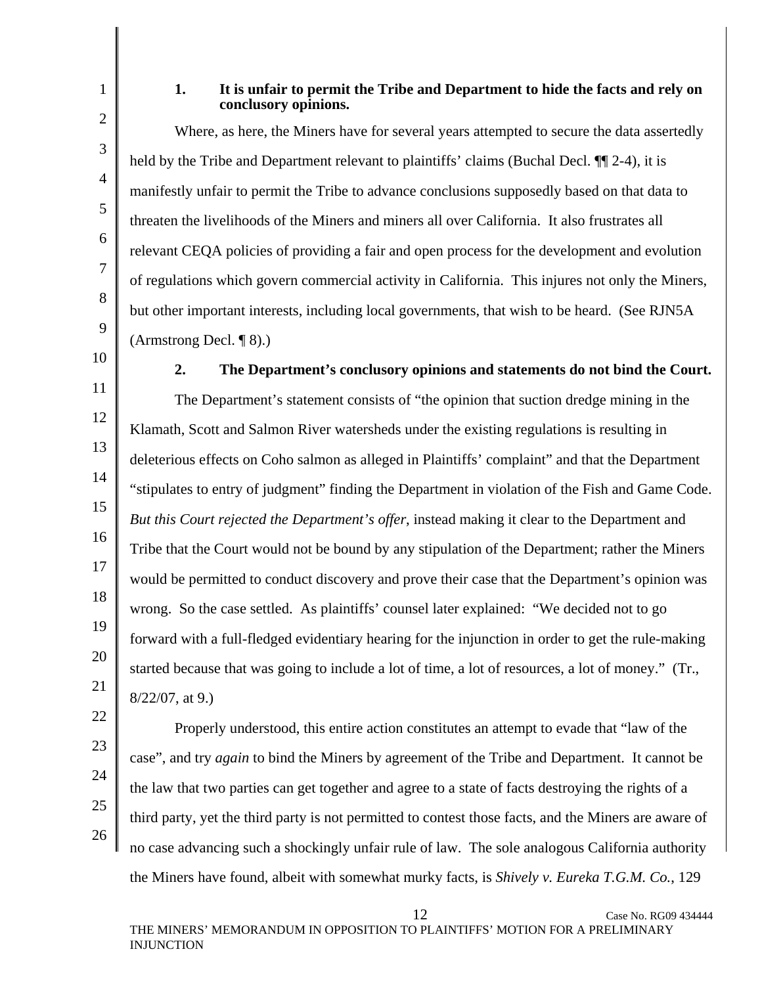1

2

3

4

5

6

7

8

9

### **1. It is unfair to permit the Tribe and Department to hide the facts and rely on conclusory opinions.**

Where, as here, the Miners have for several years attempted to secure the data assertedly held by the Tribe and Department relevant to plaintiffs' claims (Buchal Decl.  $\P$   $\uparrow$  2-4), it is manifestly unfair to permit the Tribe to advance conclusions supposedly based on that data to threaten the livelihoods of the Miners and miners all over California. It also frustrates all relevant CEQA policies of providing a fair and open process for the development and evolution of regulations which govern commercial activity in California. This injures not only the Miners, but other important interests, including local governments, that wish to be heard. (See RJN5A (Armstrong Decl. ¶ 8).)

10 11

**2. The Department's conclusory opinions and statements do not bind the Court.** 

12 13 14 15 16 18 19 20 The Department's statement consists of "the opinion that suction dredge mining in the Klamath, Scott and Salmon River watersheds under the existing regulations is resulting in deleterious effects on Coho salmon as alleged in Plaintiffs' complaint" and that the Department "stipulates to entry of judgment" finding the Department in violation of the Fish and Game Code. *But this Court rejected the Department's offer*, instead making it clear to the Department and Tribe that the Court would not be bound by any stipulation of the Department; rather the Miners would be permitted to conduct discovery and prove their case that the Department's opinion was wrong. So the case settled. As plaintiffs' counsel later explained: "We decided not to go forward with a full-fledged evidentiary hearing for the injunction in order to get the rule-making started because that was going to include a lot of time, a lot of resources, a lot of money." (Tr., 8/22/07, at 9.)

26

17

Properly understood, this entire action constitutes an attempt to evade that "law of the case", and try *again* to bind the Miners by agreement of the Tribe and Department. It cannot be the law that two parties can get together and agree to a state of facts destroying the rights of a third party, yet the third party is not permitted to contest those facts, and the Miners are aware of no case advancing such a shockingly unfair rule of law. The sole analogous California authority the Miners have found, albeit with somewhat murky facts, is *Shively v. Eureka T.G.M. Co.*, 129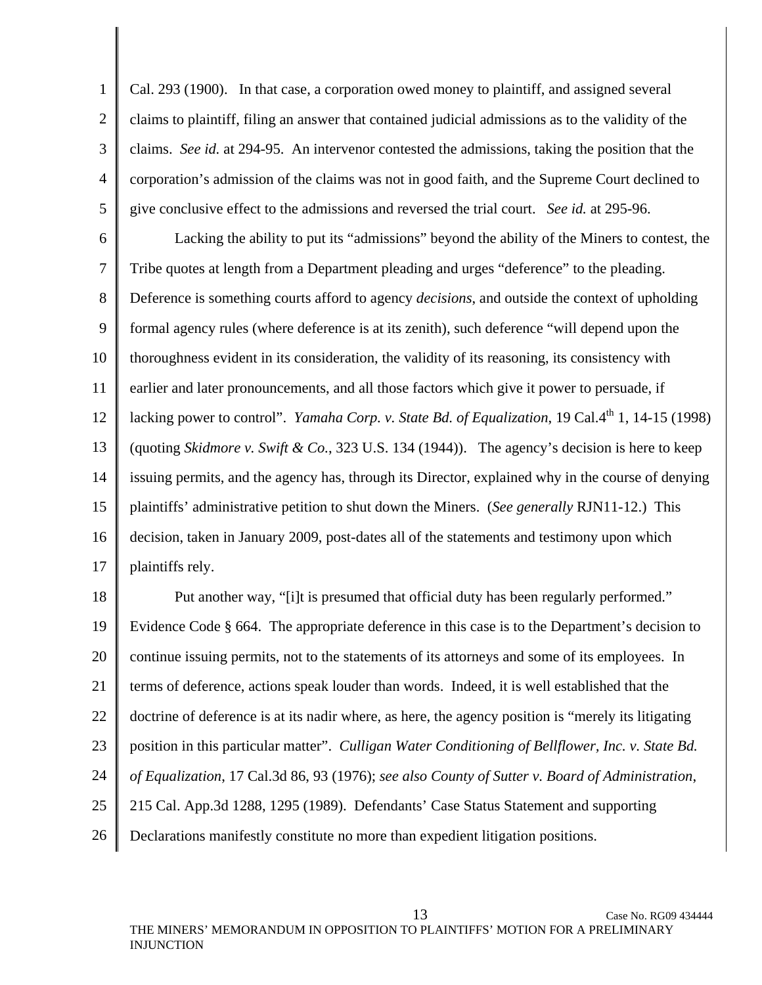1 2 3 4 5 Cal. 293 (1900). In that case, a corporation owed money to plaintiff, and assigned several claims to plaintiff, filing an answer that contained judicial admissions as to the validity of the claims. *See id.* at 294-95. An intervenor contested the admissions, taking the position that the corporation's admission of the claims was not in good faith, and the Supreme Court declined to give conclusive effect to the admissions and reversed the trial court. *See id.* at 295-96.

6 7 8 9 10 11 12 13 14 15 16 17 Lacking the ability to put its "admissions" beyond the ability of the Miners to contest, the Tribe quotes at length from a Department pleading and urges "deference" to the pleading. Deference is something courts afford to agency *decisions*, and outside the context of upholding formal agency rules (where deference is at its zenith), such deference "will depend upon the thoroughness evident in its consideration, the validity of its reasoning, its consistency with earlier and later pronouncements, and all those factors which give it power to persuade, if lacking power to control". *Yamaha Corp. v. State Bd. of Equalization*, 19 Cal.4<sup>th</sup> 1, 14-15 (1998) (quoting *Skidmore v. Swift & Co.*, 323 U.S. 134 (1944)). The agency's decision is here to keep issuing permits, and the agency has, through its Director, explained why in the course of denying plaintiffs' administrative petition to shut down the Miners. (*See generally* RJN11-12.) This decision, taken in January 2009, post-dates all of the statements and testimony upon which plaintiffs rely.

18 19 20 21 22 23 24 25 26 Put another way, "[i]t is presumed that official duty has been regularly performed." Evidence Code § 664. The appropriate deference in this case is to the Department's decision to continue issuing permits, not to the statements of its attorneys and some of its employees. In terms of deference, actions speak louder than words. Indeed, it is well established that the doctrine of deference is at its nadir where, as here, the agency position is "merely its litigating position in this particular matter". *Culligan Water Conditioning of Bellflower, Inc. v. State Bd. of Equalization*, 17 Cal.3d 86, 93 (1976); *see also County of Sutter v. Board of Administration*, 215 Cal. App.3d 1288, 1295 (1989). Defendants' Case Status Statement and supporting Declarations manifestly constitute no more than expedient litigation positions.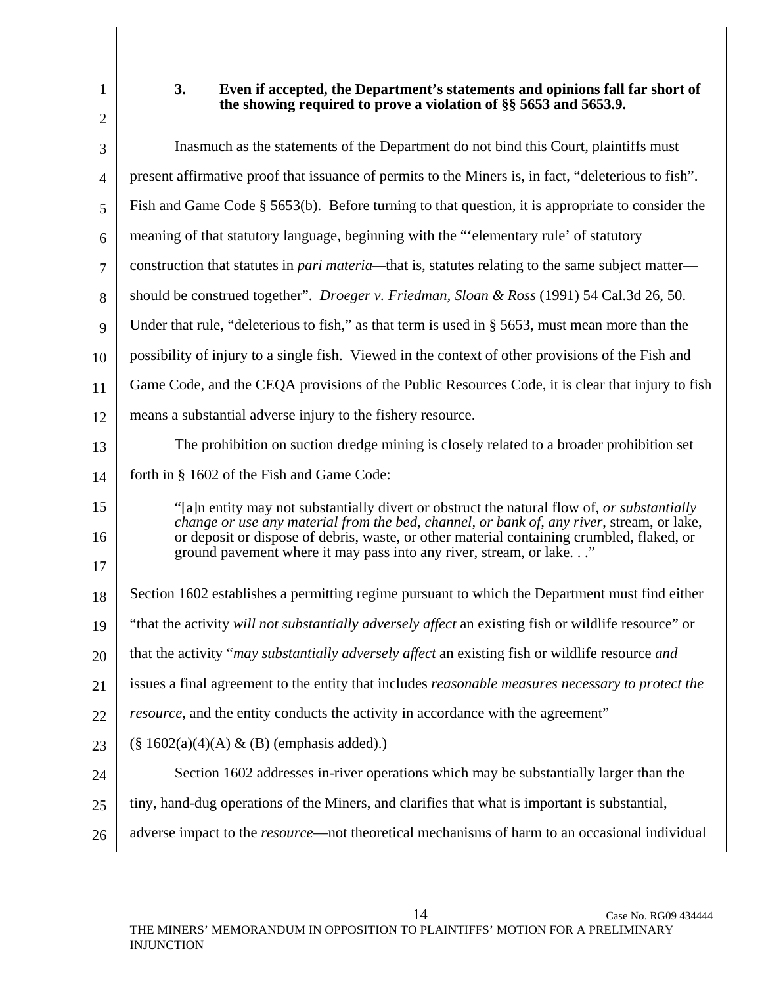1 2 3 4 5 6 7 8 9 10 11 12 13 14 15 16 17 18 19 20 21 22 **3. Even if accepted, the Department's statements and opinions fall far short of the showing required to prove a violation of §§ 5653 and 5653.9.**  Inasmuch as the statements of the Department do not bind this Court, plaintiffs must present affirmative proof that issuance of permits to the Miners is, in fact, "deleterious to fish". Fish and Game Code § 5653(b). Before turning to that question, it is appropriate to consider the meaning of that statutory language, beginning with the "'elementary rule' of statutory construction that statutes in *pari materia—*that is, statutes relating to the same subject matter should be construed together". *Droeger v. Friedman, Sloan & Ross* (1991) 54 Cal.3d 26, 50. Under that rule, "deleterious to fish," as that term is used in § 5653, must mean more than the possibility of injury to a single fish. Viewed in the context of other provisions of the Fish and Game Code, and the CEQA provisions of the Public Resources Code, it is clear that injury to fish means a substantial adverse injury to the fishery resource. The prohibition on suction dredge mining is closely related to a broader prohibition set forth in § 1602 of the Fish and Game Code: "[a]n entity may not substantially divert or obstruct the natural flow of, *or substantially change or use any material from the bed, channel, or bank of, any river*, stream, or lake, or deposit or dispose of debris, waste, or other material containing crumbled, flaked, or ground pavement where it may pass into any river, stream, or lake. . ." Section 1602 establishes a permitting regime pursuant to which the Department must find either "that the activity *will not substantially adversely affect* an existing fish or wildlife resource" or that the activity "*may substantially adversely affect* an existing fish or wildlife resource *and* issues a final agreement to the entity that includes *reasonable measures necessary to protect the resource*, and the entity conducts the activity in accordance with the agreement"

- 23  $(\S 1602(a)(4)(A) \& (B)$  (emphasis added).)
- 24 Section 1602 addresses in-river operations which may be substantially larger than the
- 25 tiny, hand-dug operations of the Miners, and clarifies that what is important is substantial,
- 26 adverse impact to the *resource*—not theoretical mechanisms of harm to an occasional individual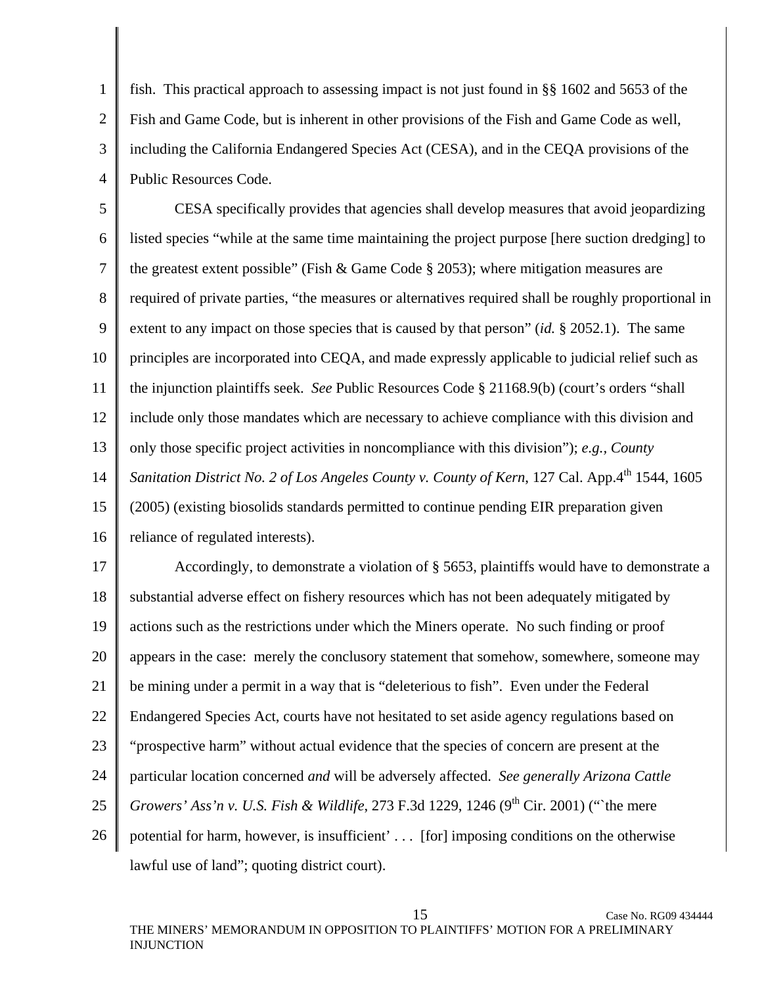1 2 3 4 fish. This practical approach to assessing impact is not just found in §§ 1602 and 5653 of the Fish and Game Code, but is inherent in other provisions of the Fish and Game Code as well, including the California Endangered Species Act (CESA), and in the CEQA provisions of the Public Resources Code.

5 6 7 8 9 10 11 12 13 14 15 16 CESA specifically provides that agencies shall develop measures that avoid jeopardizing listed species "while at the same time maintaining the project purpose [here suction dredging] to the greatest extent possible" (Fish & Game Code § 2053); where mitigation measures are required of private parties, "the measures or alternatives required shall be roughly proportional in extent to any impact on those species that is caused by that person" (*id.* § 2052.1). The same principles are incorporated into CEQA, and made expressly applicable to judicial relief such as the injunction plaintiffs seek. *See* Public Resources Code § 21168.9(b) (court's orders "shall include only those mandates which are necessary to achieve compliance with this division and only those specific project activities in noncompliance with this division"); *e.g., County Sanitation District No. 2 of Los Angeles County v. County of Kern, 127 Cal. App.4th 1544, 1605* (2005) (existing biosolids standards permitted to continue pending EIR preparation given reliance of regulated interests).

17 18 19 20 21 22 23 24 25 26 Accordingly, to demonstrate a violation of § 5653, plaintiffs would have to demonstrate a substantial adverse effect on fishery resources which has not been adequately mitigated by actions such as the restrictions under which the Miners operate. No such finding or proof appears in the case: merely the conclusory statement that somehow, somewhere, someone may be mining under a permit in a way that is "deleterious to fish". Even under the Federal Endangered Species Act, courts have not hesitated to set aside agency regulations based on "prospective harm" without actual evidence that the species of concern are present at the particular location concerned *and* will be adversely affected. *See generally Arizona Cattle Growers' Ass'n v. U.S. Fish & Wildlife*, 273 F.3d 1229, 1246 (9<sup>th</sup> Cir. 2001) ("`the mere potential for harm, however, is insufficient' . . . [for] imposing conditions on the otherwise lawful use of land"; quoting district court).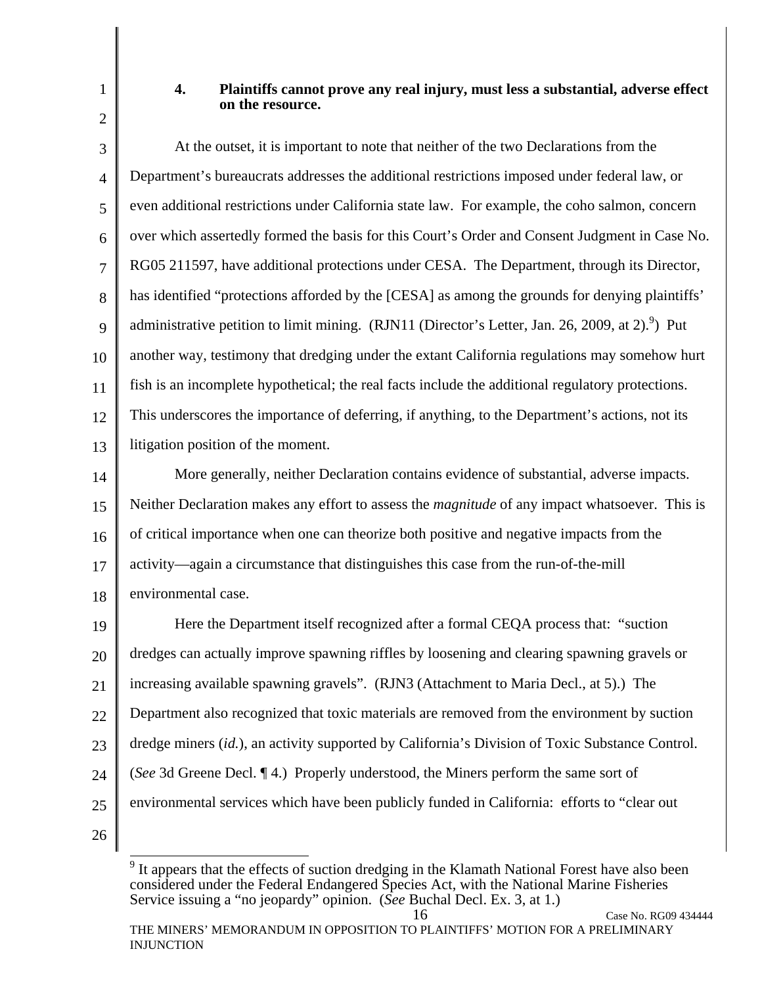## **4. Plaintiffs cannot prove any real injury, must less a substantial, adverse effect on the resource.**

3 4 5 6 7 8 9 10 11 12 13 At the outset, it is important to note that neither of the two Declarations from the Department's bureaucrats addresses the additional restrictions imposed under federal law, or even additional restrictions under California state law. For example, the coho salmon, concern over which assertedly formed the basis for this Court's Order and Consent Judgment in Case No. RG05 211597, have additional protections under CESA. The Department, through its Director, has identified "protections afforded by the [CESA] as among the grounds for denying plaintiffs' administrative petition to limit mining. (RJN11 (Director's Letter, Jan. 26, 2009, at 2).<sup>9</sup>) Put another way, testimony that dredging under the extant California regulations may somehow hurt fish is an incomplete hypothetical; the real facts include the additional regulatory protections. This underscores the importance of deferring, if anything, to the Department's actions, not its litigation position of the moment.

14 15 16 17 18 More generally, neither Declaration contains evidence of substantial, adverse impacts. Neither Declaration makes any effort to assess the *magnitude* of any impact whatsoever. This is of critical importance when one can theorize both positive and negative impacts from the activity—again a circumstance that distinguishes this case from the run-of-the-mill environmental case.

19 20 21 22 23 24 25 Here the Department itself recognized after a formal CEQA process that: "suction dredges can actually improve spawning riffles by loosening and clearing spawning gravels or increasing available spawning gravels". (RJN3 (Attachment to Maria Decl., at 5).) The Department also recognized that toxic materials are removed from the environment by suction dredge miners (*id.*), an activity supported by California's Division of Toxic Substance Control. (*See* 3d Greene Decl. ¶ 4.) Properly understood, the Miners perform the same sort of environmental services which have been publicly funded in California: efforts to "clear out

26

1

2

 $\overline{a}$  $9$  It appears that the effects of suction dredging in the Klamath National Forest have also been considered under the Federal Endangered Species Act, with the National Marine Fisheries Service issuing a "no jeopardy" opinion. (*See* Buchal Decl. Ex. 3, at 1.)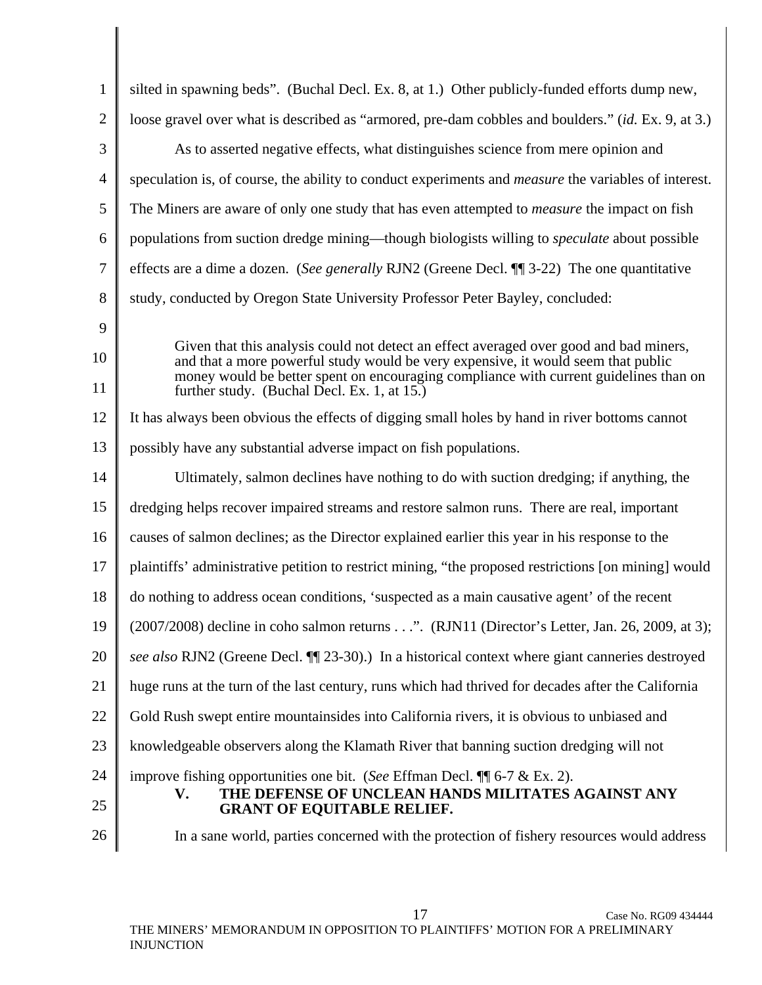| 1              | silted in spawning beds". (Buchal Decl. Ex. 8, at 1.) Other publicly-funded efforts dump new,                                                                               |
|----------------|-----------------------------------------------------------------------------------------------------------------------------------------------------------------------------|
| $\overline{2}$ | loose gravel over what is described as "armored, pre-dam cobbles and boulders." (id. Ex. 9, at 3.)                                                                          |
| 3              | As to asserted negative effects, what distinguishes science from mere opinion and                                                                                           |
| 4              | speculation is, of course, the ability to conduct experiments and <i>measure</i> the variables of interest.                                                                 |
| 5              | The Miners are aware of only one study that has even attempted to <i>measure</i> the impact on fish                                                                         |
| 6              | populations from suction dredge mining—though biologists willing to <i>speculate</i> about possible                                                                         |
| 7              | effects are a dime a dozen. (See generally RJN2 (Greene Decl. ¶ 3-22) The one quantitative                                                                                  |
| 8              | study, conducted by Oregon State University Professor Peter Bayley, concluded:                                                                                              |
| 9              |                                                                                                                                                                             |
| 10             | Given that this analysis could not detect an effect averaged over good and bad miners,<br>and that a more powerful study would be very expensive, it would seem that public |
| 11             | money would be better spent on encouraging compliance with current guidelines than on<br>further study. (Buchal Decl. Ex. 1, at 15.)                                        |
| 12             | It has always been obvious the effects of digging small holes by hand in river bottoms cannot                                                                               |
| 13             | possibly have any substantial adverse impact on fish populations.                                                                                                           |
| 14             | Ultimately, salmon declines have nothing to do with suction dredging; if anything, the                                                                                      |
| 15             | dredging helps recover impaired streams and restore salmon runs. There are real, important                                                                                  |
| 16             | causes of salmon declines; as the Director explained earlier this year in his response to the                                                                               |
| 17             | plaintiffs' administrative petition to restrict mining, "the proposed restrictions [on mining] would                                                                        |
| 18             | do nothing to address ocean conditions, 'suspected as a main causative agent' of the recent                                                                                 |
| 19             | (2007/2008) decline in coho salmon returns". (RJN11 (Director's Letter, Jan. 26, 2009, at 3);                                                                               |
| 20             | see also RJN2 (Greene Decl. ¶ 23-30).) In a historical context where giant canneries destroyed                                                                              |
| 21             | huge runs at the turn of the last century, runs which had thrived for decades after the California                                                                          |
| 22             | Gold Rush swept entire mountainsides into California rivers, it is obvious to unbiased and                                                                                  |
| 23             | knowledgeable observers along the Klamath River that banning suction dredging will not                                                                                      |
| 24             | improve fishing opportunities one bit. (See Effman Decl. $\P$ 6-7 & Ex. 2).                                                                                                 |
| 25             | THE DEFENSE OF UNCLEAN HANDS MILITATES AGAINST ANY<br>V.<br><b>GRANT OF EQUITABLE RELIEF.</b>                                                                               |
| 26             | In a sane world, parties concerned with the protection of fishery resources would address                                                                                   |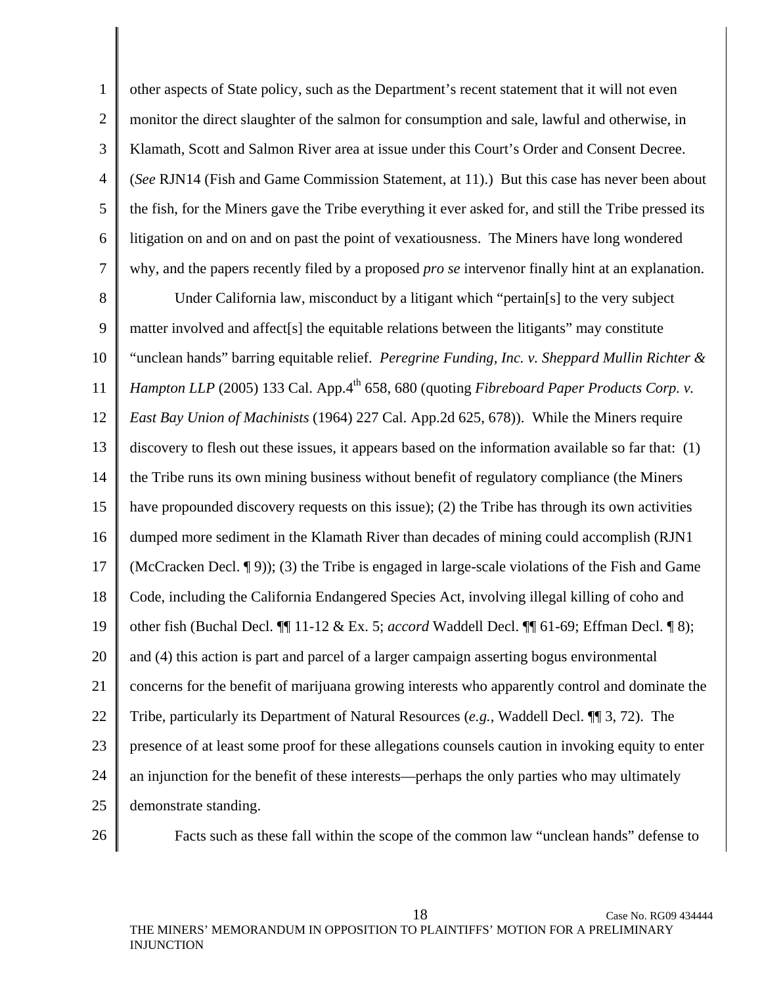1 2 3 4 5 6 7 other aspects of State policy, such as the Department's recent statement that it will not even monitor the direct slaughter of the salmon for consumption and sale, lawful and otherwise, in Klamath, Scott and Salmon River area at issue under this Court's Order and Consent Decree. (*See* RJN14 (Fish and Game Commission Statement, at 11).) But this case has never been about the fish, for the Miners gave the Tribe everything it ever asked for, and still the Tribe pressed its litigation on and on and on past the point of vexatiousness. The Miners have long wondered why, and the papers recently filed by a proposed *pro se* intervenor finally hint at an explanation.

8 9 10 11 12 13 14 15 16 17 18 19 20 21 22 23 24 25 Under California law, misconduct by a litigant which "pertain[s] to the very subject matter involved and affect[s] the equitable relations between the litigants" may constitute "unclean hands" barring equitable relief. *Peregrine Funding, Inc. v. Sheppard Mullin Richter & Hampton LLP* (2005) 133 Cal. App.4<sup>th</sup> 658, 680 (quoting *Fibreboard Paper Products Corp. v. East Bay Union of Machinists* (1964) 227 Cal. App.2d 625, 678)). While the Miners require discovery to flesh out these issues, it appears based on the information available so far that: (1) the Tribe runs its own mining business without benefit of regulatory compliance (the Miners have propounded discovery requests on this issue); (2) the Tribe has through its own activities dumped more sediment in the Klamath River than decades of mining could accomplish (RJN1 (McCracken Decl. ¶ 9)); (3) the Tribe is engaged in large-scale violations of the Fish and Game Code, including the California Endangered Species Act, involving illegal killing of coho and other fish (Buchal Decl. ¶¶ 11-12 & Ex. 5; *accord* Waddell Decl. ¶¶ 61-69; Effman Decl. ¶ 8); and (4) this action is part and parcel of a larger campaign asserting bogus environmental concerns for the benefit of marijuana growing interests who apparently control and dominate the Tribe, particularly its Department of Natural Resources (*e.g.*, Waddell Decl. ¶¶ 3, 72). The presence of at least some proof for these allegations counsels caution in invoking equity to enter an injunction for the benefit of these interests—perhaps the only parties who may ultimately demonstrate standing.

26

Facts such as these fall within the scope of the common law "unclean hands" defense to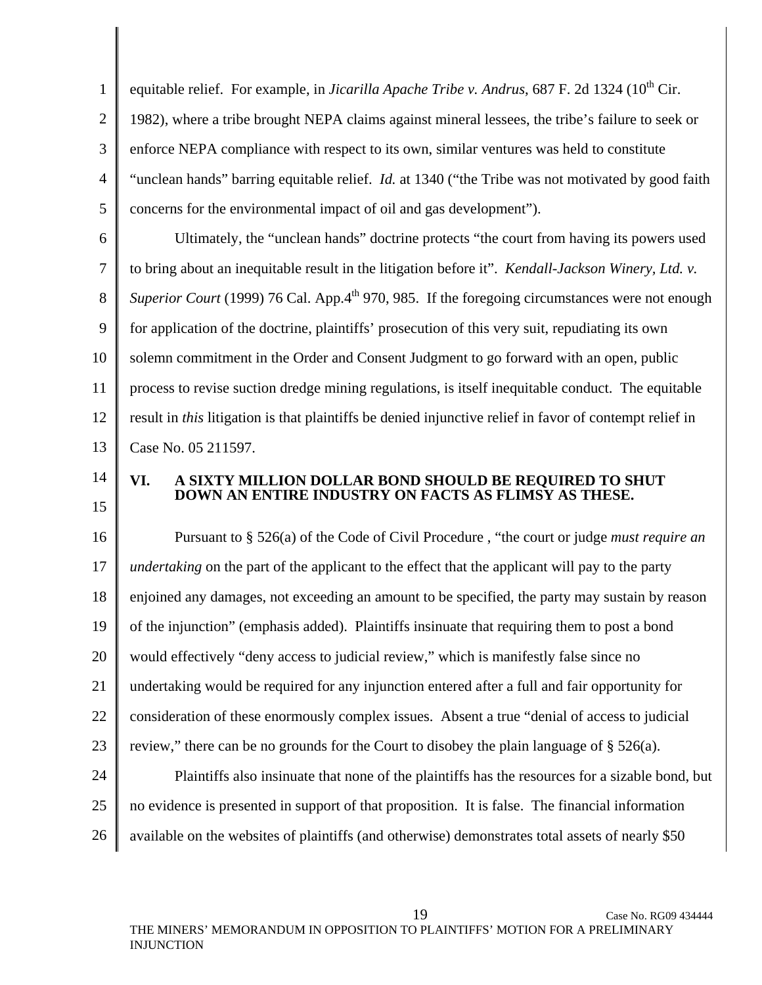1 2 3 4 5 equitable relief. For example, in *Jicarilla Apache Tribe v. Andrus*, 687 F. 2d 1324 (10<sup>th</sup> Cir. 1982), where a tribe brought NEPA claims against mineral lessees, the tribe's failure to seek or enforce NEPA compliance with respect to its own, similar ventures was held to constitute "unclean hands" barring equitable relief. *Id.* at 1340 ("the Tribe was not motivated by good faith concerns for the environmental impact of oil and gas development").

6 7 8 9 10 11 12 13 Ultimately, the "unclean hands" doctrine protects "the court from having its powers used to bring about an inequitable result in the litigation before it". *Kendall-Jackson Winery, Ltd. v. Superior Court* (1999) 76 Cal. App. $4<sup>th</sup>$  970, 985. If the foregoing circumstances were not enough for application of the doctrine, plaintiffs' prosecution of this very suit, repudiating its own solemn commitment in the Order and Consent Judgment to go forward with an open, public process to revise suction dredge mining regulations, is itself inequitable conduct. The equitable result in *this* litigation is that plaintiffs be denied injunctive relief in favor of contempt relief in Case No. 05 211597.

14 15

## **VI. A SIXTY MILLION DOLLAR BOND SHOULD BE REQUIRED TO SHUT DOWN AN ENTIRE INDUSTRY ON FACTS AS FLIMSY AS THESE.**

16 17 18 19 20 21 22 23 Pursuant to § 526(a) of the Code of Civil Procedure , "the court or judge *must require an undertaking* on the part of the applicant to the effect that the applicant will pay to the party enjoined any damages, not exceeding an amount to be specified, the party may sustain by reason of the injunction" (emphasis added). Plaintiffs insinuate that requiring them to post a bond would effectively "deny access to judicial review," which is manifestly false since no undertaking would be required for any injunction entered after a full and fair opportunity for consideration of these enormously complex issues. Absent a true "denial of access to judicial review," there can be no grounds for the Court to disobey the plain language of  $\S 526(a)$ .

24 25 26 Plaintiffs also insinuate that none of the plaintiffs has the resources for a sizable bond, but no evidence is presented in support of that proposition. It is false. The financial information available on the websites of plaintiffs (and otherwise) demonstrates total assets of nearly \$50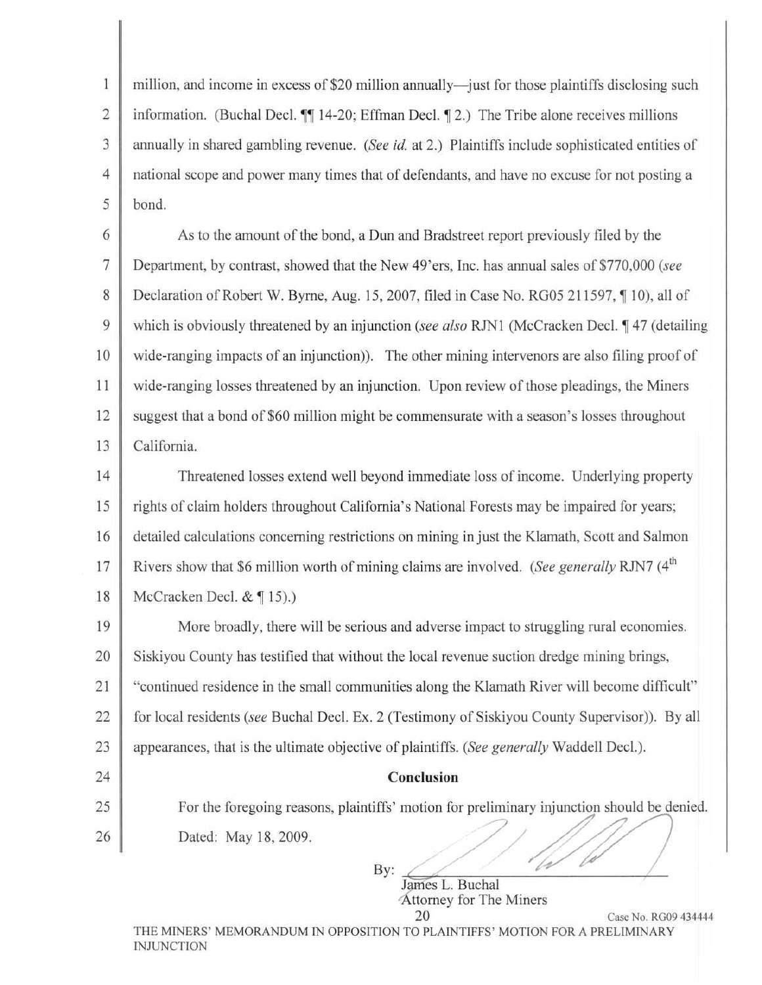$\mathbf{1}$ million, and income in excess of \$20 million annually—just for those plaintiffs disclosing such  $\overline{c}$ information. (Buchal Decl. ¶ 14-20; Effman Decl. ¶ 2.) The Tribe alone receives millions 3 annually in shared gambling revenue. (See id. at 2.) Plaintiffs include sophisticated entities of national scope and power many times that of defendants, and have no excuse for not posting a  $\overline{4}$ 5 bond.

6 As to the amount of the bond, a Dun and Bradstreet report previously filed by the  $\overline{7}$ Department, by contrast, showed that the New 49'ers, Inc. has annual sales of \$770,000 (see 8 Declaration of Robert W. Byrne, Aug. 15, 2007, filed in Case No. RG05 211597, 10), all of 9 which is obviously threatened by an injunction (see also RJN1 (McCracken Decl. 147 (detailing 10 wide-ranging impacts of an injunction)). The other mining intervenors are also filing proof of 11 wide-ranging losses threatened by an injunction. Upon review of those pleadings, the Miners 12 suggest that a bond of \$60 million might be commensurate with a season's losses throughout 13 California.

14 Threatened losses extend well beyond immediate loss of income. Underlying property 15 rights of claim holders throughout California's National Forests may be impaired for years; 16 detailed calculations concerning restrictions on mining in just the Klamath, Scott and Salmon Rivers show that \$6 million worth of mining claims are involved. (See generally RJN7 (4<sup>th</sup>) 17 18 McCracken Decl.  $&$  [15).)

19 More broadly, there will be serious and adverse impact to struggling rural economies. 20 Siskiyou County has testified that without the local revenue suction dredge mining brings, 21 "continued residence in the small communities along the Klamath River will become difficult" 22 for local residents (see Buchal Decl. Ex. 2 (Testimony of Siskiyou County Supervisor)). By all 23 appearances, that is the ultimate objective of plaintiffs. (See generally Waddell Decl.).

### Conclusion

For the foregoing reasons, plaintiffs' motion for preliminary injunction should be denied.

26 Dated: May 18, 2009.

24

25

By: James L. Buchal Attorney for The Miners 20

Case No. RG09 434444

THE MINERS' MEMORANDUM IN OPPOSITION TO PLAINTIFFS' MOTION FOR A PRELIMINARY **INJUNCTION**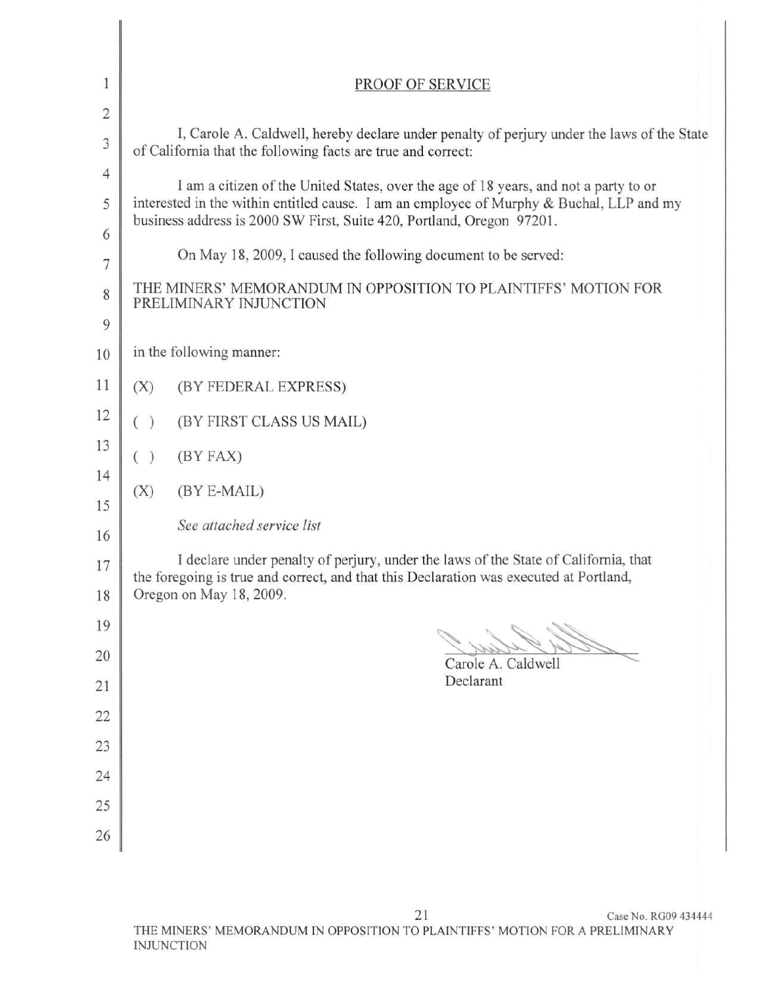| $\mathbf{1}$                     | PROOF OF SERVICE                                                                                                                                                                                                                                          |  |  |
|----------------------------------|-----------------------------------------------------------------------------------------------------------------------------------------------------------------------------------------------------------------------------------------------------------|--|--|
| $\overline{2}$<br>$\mathfrak{Z}$ | I, Carole A. Caldwell, hereby declare under penalty of perjury under the laws of the State<br>of California that the following facts are true and correct:                                                                                                |  |  |
| $\overline{4}$<br>5              | I am a citizen of the United States, over the age of 18 years, and not a party to or<br>interested in the within entitled cause. I am an employee of Murphy & Buchal, LLP and my<br>business address is 2000 SW First, Suite 420, Portland, Oregon 97201. |  |  |
| 6<br>$\overline{7}$              | On May 18, 2009, I caused the following document to be served:                                                                                                                                                                                            |  |  |
| 8                                | THE MINERS' MEMORANDUM IN OPPOSITION TO PLAINTIFFS' MOTION FOR<br>PRELIMINARY INJUNCTION                                                                                                                                                                  |  |  |
| 9<br>10                          | in the following manner:                                                                                                                                                                                                                                  |  |  |
| 11                               | (X)<br>(BY FEDERAL EXPRESS)                                                                                                                                                                                                                               |  |  |
| 12                               | (BY FIRST CLASS US MAIL)<br>( )                                                                                                                                                                                                                           |  |  |
| 13<br>14                         | ( )<br>(BY FAX)                                                                                                                                                                                                                                           |  |  |
| 15                               | (X)<br>(BY E-MAIL)                                                                                                                                                                                                                                        |  |  |
| 16                               | See attached service list                                                                                                                                                                                                                                 |  |  |
| 17<br>18                         | I declare under penalty of perjury, under the laws of the State of California, that<br>the foregoing is true and correct, and that this Declaration was executed at Portland,<br>Oregon on May 18, 2009.                                                  |  |  |
| 19                               |                                                                                                                                                                                                                                                           |  |  |
| 20                               | Carole A. Caldwell                                                                                                                                                                                                                                        |  |  |
| 21                               | Declarant                                                                                                                                                                                                                                                 |  |  |
| 22<br>23                         |                                                                                                                                                                                                                                                           |  |  |
| 24                               |                                                                                                                                                                                                                                                           |  |  |
| 25                               |                                                                                                                                                                                                                                                           |  |  |
| 26                               |                                                                                                                                                                                                                                                           |  |  |

I